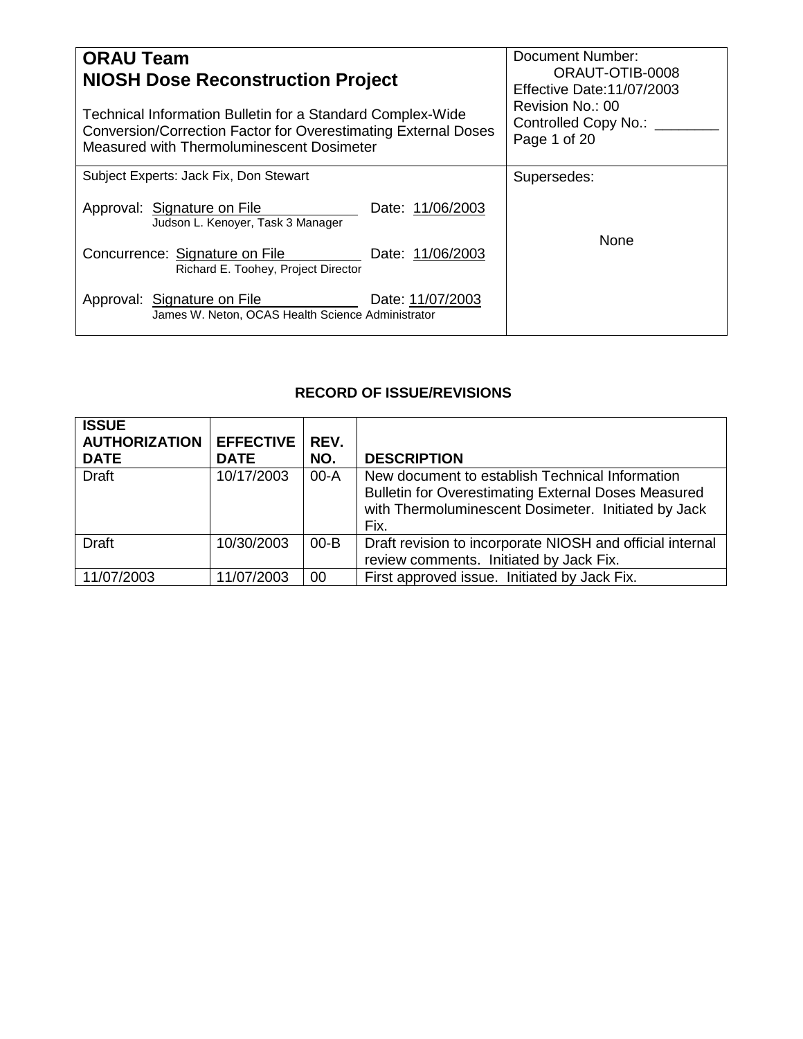| <b>ORAU Team</b><br><b>NIOSH Dose Reconstruction Project</b><br>Technical Information Bulletin for a Standard Complex-Wide<br>Conversion/Correction Factor for Overestimating External Doses<br>Measured with Thermoluminescent Dosimeter | Document Number:<br>ORAUT-OTIB-0008<br><b>Effective Date:11/07/2003</b><br>Revision No.: 00<br>Controlled Copy No.: ___<br>Page 1 of 20 |
|-------------------------------------------------------------------------------------------------------------------------------------------------------------------------------------------------------------------------------------------|-----------------------------------------------------------------------------------------------------------------------------------------|
| Subject Experts: Jack Fix, Don Stewart                                                                                                                                                                                                    | Supersedes:                                                                                                                             |
| Approval: Signature on File<br>Date: 11/06/2003<br>Judson L. Kenoyer, Task 3 Manager                                                                                                                                                      |                                                                                                                                         |
| Concurrence: Signature on File<br>Date: 11/06/2003<br>Richard E. Toohey, Project Director                                                                                                                                                 | None                                                                                                                                    |
| Approval: Signature on File<br>Date: 11/07/2003<br>James W. Neton, OCAS Health Science Administrator                                                                                                                                      |                                                                                                                                         |

# **RECORD OF ISSUE/REVISIONS**

| <b>ISSUE</b><br><b>AUTHORIZATION</b><br><b>DATE</b> | <b>EFFECTIVE</b><br><b>DATE</b> | REV.<br>NO. | <b>DESCRIPTION</b>                                                                                                                                                           |
|-----------------------------------------------------|---------------------------------|-------------|------------------------------------------------------------------------------------------------------------------------------------------------------------------------------|
| <b>Draft</b>                                        | 10/17/2003                      | 00-A        | New document to establish Technical Information<br><b>Bulletin for Overestimating External Doses Measured</b><br>with Thermoluminescent Dosimeter. Initiated by Jack<br>Fix. |
| <b>Draft</b>                                        | 10/30/2003                      | $00 - B$    | Draft revision to incorporate NIOSH and official internal<br>review comments. Initiated by Jack Fix.                                                                         |
| 11/07/2003                                          | 11/07/2003                      | 00          | First approved issue. Initiated by Jack Fix.                                                                                                                                 |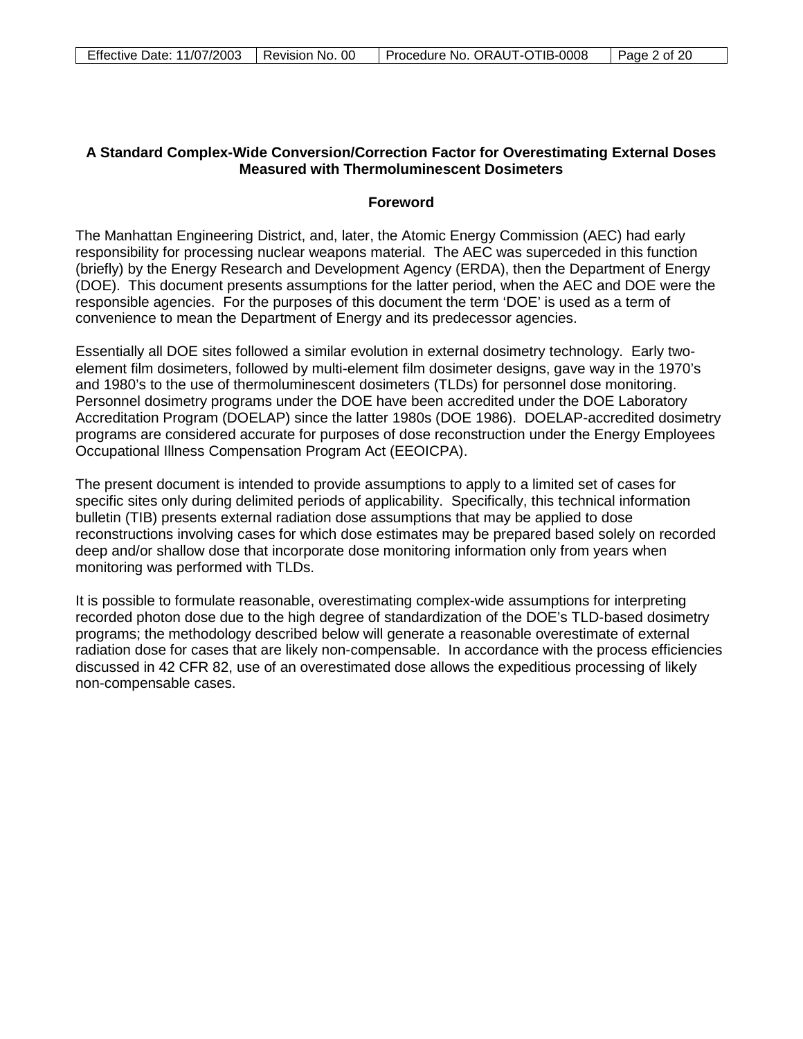## **A Standard Complex-Wide Conversion/Correction Factor for Overestimating External Doses Measured with Thermoluminescent Dosimeters**

### **Foreword**

The Manhattan Engineering District, and, later, the Atomic Energy Commission (AEC) had early responsibility for processing nuclear weapons material. The AEC was superceded in this function (briefly) by the Energy Research and Development Agency (ERDA), then the Department of Energy (DOE). This document presents assumptions for the latter period, when the AEC and DOE were the responsible agencies. For the purposes of this document the term 'DOE' is used as a term of convenience to mean the Department of Energy and its predecessor agencies.

Essentially all DOE sites followed a similar evolution in external dosimetry technology. Early twoelement film dosimeters, followed by multi-element film dosimeter designs, gave way in the 1970's and 1980's to the use of thermoluminescent dosimeters (TLDs) for personnel dose monitoring. Personnel dosimetry programs under the DOE have been accredited under the DOE Laboratory Accreditation Program (DOELAP) since the latter 1980s (DOE 1986). DOELAP-accredited dosimetry programs are considered accurate for purposes of dose reconstruction under the Energy Employees Occupational Illness Compensation Program Act (EEOICPA).

The present document is intended to provide assumptions to apply to a limited set of cases for specific sites only during delimited periods of applicability. Specifically, this technical information bulletin (TIB) presents external radiation dose assumptions that may be applied to dose reconstructions involving cases for which dose estimates may be prepared based solely on recorded deep and/or shallow dose that incorporate dose monitoring information only from years when monitoring was performed with TLDs.

It is possible to formulate reasonable, overestimating complex-wide assumptions for interpreting recorded photon dose due to the high degree of standardization of the DOE's TLD-based dosimetry programs; the methodology described below will generate a reasonable overestimate of external radiation dose for cases that are likely non-compensable. In accordance with the process efficiencies discussed in 42 CFR 82, use of an overestimated dose allows the expeditious processing of likely non-compensable cases.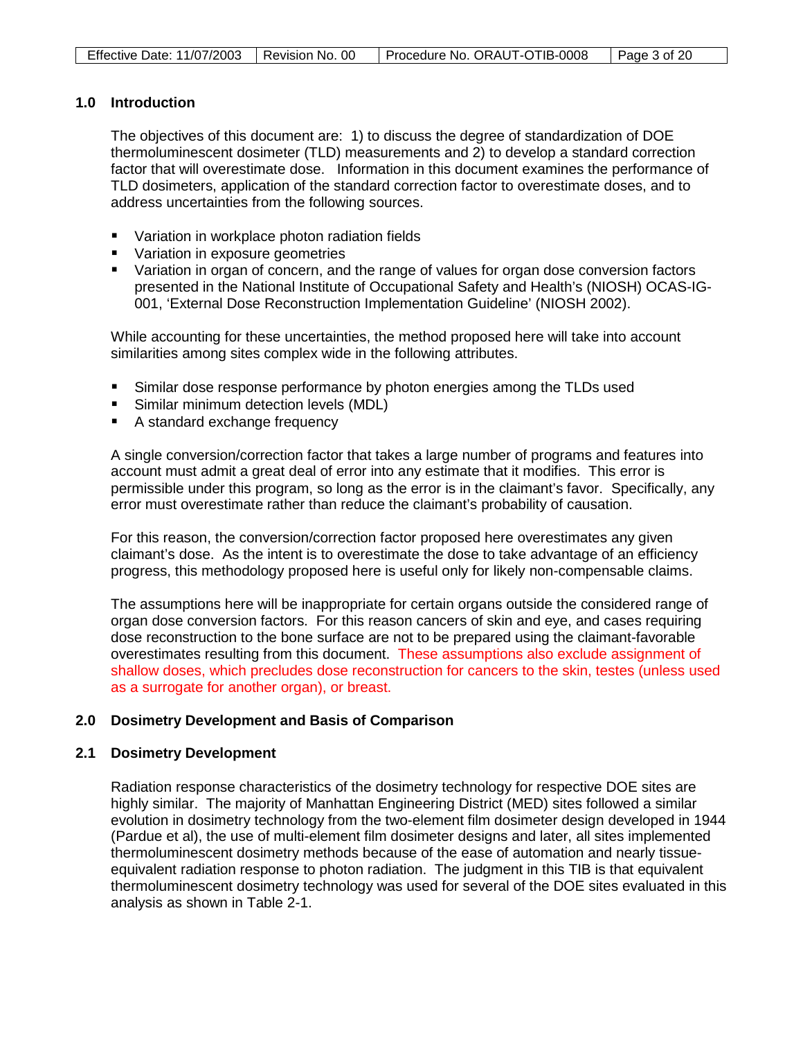## **1.0 Introduction**

The objectives of this document are: 1) to discuss the degree of standardization of DOE thermoluminescent dosimeter (TLD) measurements and 2) to develop a standard correction factor that will overestimate dose. Information in this document examines the performance of TLD dosimeters, application of the standard correction factor to overestimate doses, and to address uncertainties from the following sources.

- Variation in workplace photon radiation fields
- Variation in exposure geometries
- **U** Variation in organ of concern, and the range of values for organ dose conversion factors presented in the National Institute of Occupational Safety and Health's (NIOSH) OCAS-IG-001, 'External Dose Reconstruction Implementation Guideline' (NIOSH 2002).

While accounting for these uncertainties, the method proposed here will take into account similarities among sites complex wide in the following attributes.

- Similar dose response performance by photon energies among the TLDs used
- **Similar minimum detection levels (MDL)**
- A standard exchange frequency

A single conversion/correction factor that takes a large number of programs and features into account must admit a great deal of error into any estimate that it modifies. This error is permissible under this program, so long as the error is in the claimant's favor. Specifically, any error must overestimate rather than reduce the claimant's probability of causation.

For this reason, the conversion/correction factor proposed here overestimates any given claimant's dose. As the intent is to overestimate the dose to take advantage of an efficiency progress, this methodology proposed here is useful only for likely non-compensable claims.

The assumptions here will be inappropriate for certain organs outside the considered range of organ dose conversion factors. For this reason cancers of skin and eye, and cases requiring dose reconstruction to the bone surface are not to be prepared using the claimant-favorable overestimates resulting from this document. These assumptions also exclude assignment of shallow doses, which precludes dose reconstruction for cancers to the skin, testes (unless used as a surrogate for another organ), or breast.

## **2.0 Dosimetry Development and Basis of Comparison**

#### **2.1 Dosimetry Development**

Radiation response characteristics of the dosimetry technology for respective DOE sites are highly similar. The majority of Manhattan Engineering District (MED) sites followed a similar evolution in dosimetry technology from the two-element film dosimeter design developed in 1944 (Pardue et al), the use of multi-element film dosimeter designs and later, all sites implemented thermoluminescent dosimetry methods because of the ease of automation and nearly tissueequivalent radiation response to photon radiation. The judgment in this TIB is that equivalent thermoluminescent dosimetry technology was used for several of the DOE sites evaluated in this analysis as shown in Table 2-1.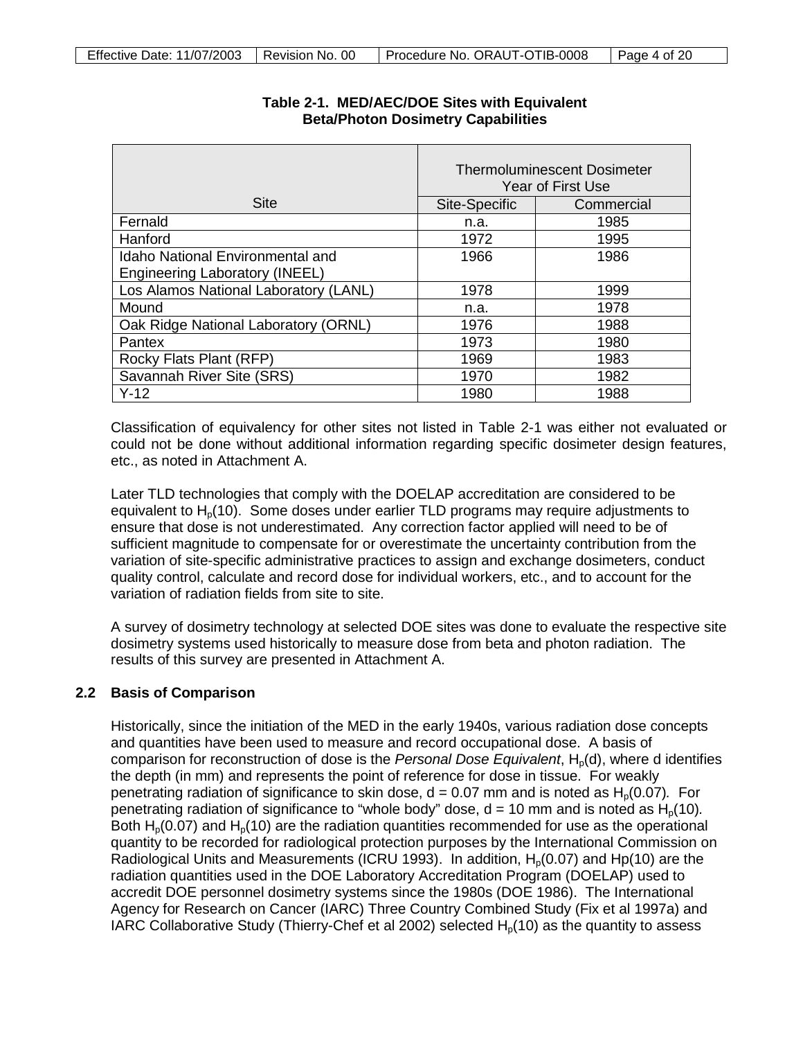|                                                                                  | <b>Thermoluminescent Dosimeter</b><br>Year of First Use |            |
|----------------------------------------------------------------------------------|---------------------------------------------------------|------------|
| <b>Site</b>                                                                      | Site-Specific                                           | Commercial |
| Fernald                                                                          | n.a.                                                    | 1985       |
| Hanford                                                                          | 1972                                                    | 1995       |
| <b>Idaho National Environmental and</b><br><b>Engineering Laboratory (INEEL)</b> | 1966                                                    | 1986       |
| Los Alamos National Laboratory (LANL)                                            | 1978                                                    | 1999       |
| Mound                                                                            | n.a.                                                    | 1978       |
| Oak Ridge National Laboratory (ORNL)                                             | 1976                                                    | 1988       |
| Pantex                                                                           | 1973                                                    | 1980       |
| Rocky Flats Plant (RFP)                                                          | 1969                                                    | 1983       |
| Savannah River Site (SRS)                                                        | 1970                                                    | 1982       |
| $Y-12$                                                                           | 1980                                                    | 1988       |

## **Table 2-1. MED/AEC/DOE Sites with Equivalent Beta/Photon Dosimetry Capabilities**

Classification of equivalency for other sites not listed in Table 2-1 was either not evaluated or could not be done without additional information regarding specific dosimeter design features, etc., as noted in Attachment A.

Later TLD technologies that comply with the DOELAP accreditation are considered to be equivalent to  $H<sub>p</sub>(10)$ . Some doses under earlier TLD programs may require adjustments to ensure that dose is not underestimated. Any correction factor applied will need to be of sufficient magnitude to compensate for or overestimate the uncertainty contribution from the variation of site-specific administrative practices to assign and exchange dosimeters, conduct quality control, calculate and record dose for individual workers, etc., and to account for the variation of radiation fields from site to site.

A survey of dosimetry technology at selected DOE sites was done to evaluate the respective site dosimetry systems used historically to measure dose from beta and photon radiation. The results of this survey are presented in Attachment A.

## **2.2 Basis of Comparison**

Historically, since the initiation of the MED in the early 1940s, various radiation dose concepts and quantities have been used to measure and record occupational dose. A basis of comparison for reconstruction of dose is the *Personal Dose Equivalent*, H<sub>0</sub>(d), where d identifies the depth (in mm) and represents the point of reference for dose in tissue. For weakly penetrating radiation of significance to skin dose,  $d = 0.07$  mm and is noted as  $H<sub>p</sub>(0.07)$ *.* For penetrating radiation of significance to "whole body" dose,  $d = 10$  mm and is noted as  $H_p(10)$ . Both  $H<sub>0</sub>(0.07)$  and  $H<sub>0</sub>(10)$  are the radiation quantities recommended for use as the operational quantity to be recorded for radiological protection purposes by the International Commission on Radiological Units and Measurements (ICRU 1993). In addition,  $H<sub>0</sub>(0.07)$  and Hp(10) are the radiation quantities used in the DOE Laboratory Accreditation Program (DOELAP) used to accredit DOE personnel dosimetry systems since the 1980s (DOE 1986). The International Agency for Research on Cancer (IARC) Three Country Combined Study (Fix et al 1997a) and IARC Collaborative Study (Thierry-Chef et al 2002) selected  $H_p(10)$  as the quantity to assess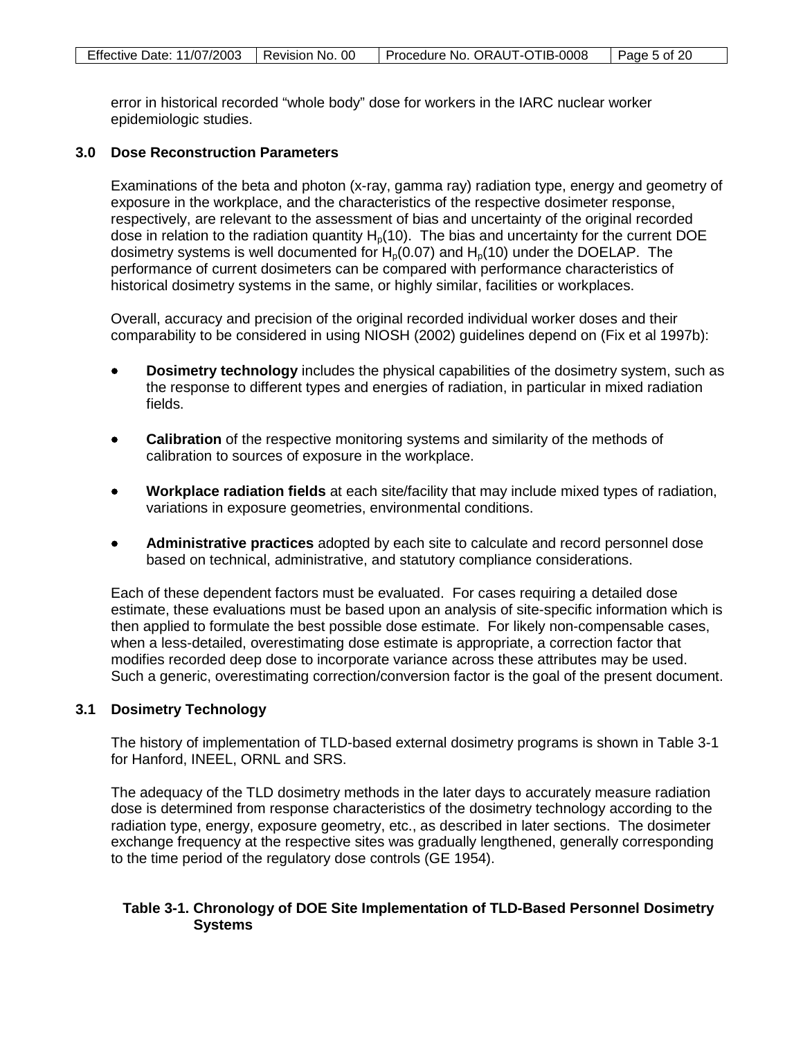error in historical recorded "whole body" dose for workers in the IARC nuclear worker epidemiologic studies.

#### **3.0 Dose Reconstruction Parameters**

Examinations of the beta and photon (x-ray, gamma ray) radiation type, energy and geometry of exposure in the workplace, and the characteristics of the respective dosimeter response, respectively, are relevant to the assessment of bias and uncertainty of the original recorded dose in relation to the radiation quantity  $H<sub>0</sub>(10)$ . The bias and uncertainty for the current DOE dosimetry systems is well documented for  $H_p(0.07)$  and  $H_p(10)$  under the DOELAP. The performance of current dosimeters can be compared with performance characteristics of historical dosimetry systems in the same, or highly similar, facilities or workplaces.

Overall, accuracy and precision of the original recorded individual worker doses and their comparability to be considered in using NIOSH (2002) guidelines depend on (Fix et al 1997b):

- **Dosimetry technology** includes the physical capabilities of the dosimetry system, such as the response to different types and energies of radiation, in particular in mixed radiation fields.
- **Calibration** of the respective monitoring systems and similarity of the methods of calibration to sources of exposure in the workplace.
- **Workplace radiation fields** at each site/facility that may include mixed types of radiation, variations in exposure geometries, environmental conditions.
- **Administrative practices** adopted by each site to calculate and record personnel dose based on technical, administrative, and statutory compliance considerations.

Each of these dependent factors must be evaluated. For cases requiring a detailed dose estimate, these evaluations must be based upon an analysis of site-specific information which is then applied to formulate the best possible dose estimate. For likely non-compensable cases, when a less-detailed, overestimating dose estimate is appropriate, a correction factor that modifies recorded deep dose to incorporate variance across these attributes may be used. Such a generic, overestimating correction/conversion factor is the goal of the present document.

## **3.1 Dosimetry Technology**

The history of implementation of TLD-based external dosimetry programs is shown in Table 3-1 for Hanford, INEEL, ORNL and SRS.

The adequacy of the TLD dosimetry methods in the later days to accurately measure radiation dose is determined from response characteristics of the dosimetry technology according to the radiation type, energy, exposure geometry, etc., as described in later sections. The dosimeter exchange frequency at the respective sites was gradually lengthened, generally corresponding to the time period of the regulatory dose controls (GE 1954).

## **Table 3-1. Chronology of DOE Site Implementation of TLD-Based Personnel Dosimetry Systems**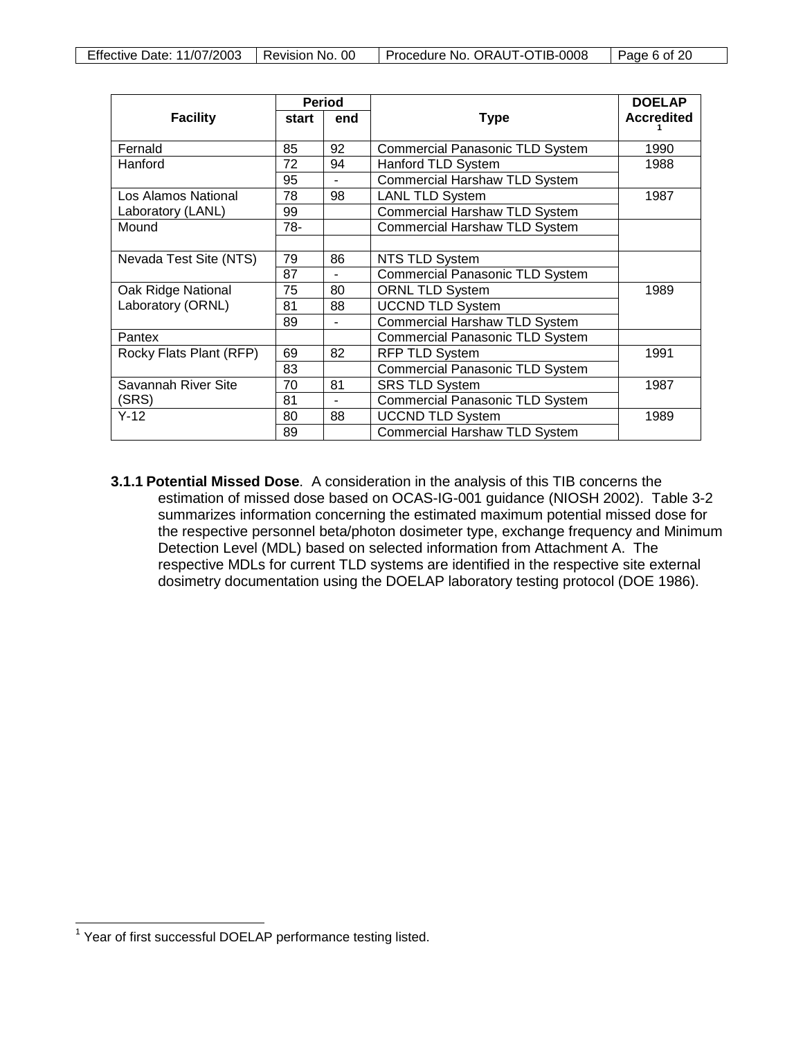|                         |       | <b>Period</b>            |                                        | <b>DOELAP</b>     |
|-------------------------|-------|--------------------------|----------------------------------------|-------------------|
| <b>Facility</b>         | start | end                      | <b>Type</b>                            | <b>Accredited</b> |
|                         |       |                          |                                        |                   |
| Fernald                 | 85    | 92                       | <b>Commercial Panasonic TLD System</b> | 1990              |
| Hanford                 | 72    | 94                       | Hanford TLD System                     | 1988              |
|                         | 95    | $\blacksquare$           | <b>Commercial Harshaw TLD System</b>   |                   |
| Los Alamos National     | 78    | 98                       | <b>LANL TLD System</b>                 | 1987              |
| Laboratory (LANL)       | 99    |                          | <b>Commercial Harshaw TLD System</b>   |                   |
| Mound                   | 78-   |                          | <b>Commercial Harshaw TLD System</b>   |                   |
|                         |       |                          |                                        |                   |
| Nevada Test Site (NTS)  | 79    | 86                       | <b>NTS TLD System</b>                  |                   |
|                         | 87    |                          | <b>Commercial Panasonic TLD System</b> |                   |
| Oak Ridge National      | 75    | 80                       | <b>ORNL TLD System</b>                 | 1989              |
| Laboratory (ORNL)       | 81    | 88                       | <b>UCCND TLD System</b>                |                   |
|                         | 89    |                          | <b>Commercial Harshaw TLD System</b>   |                   |
| Pantex                  |       |                          | <b>Commercial Panasonic TLD System</b> |                   |
| Rocky Flats Plant (RFP) | 69    | 82                       | RFP TLD System                         | 1991              |
|                         | 83    |                          | <b>Commercial Panasonic TLD System</b> |                   |
| Savannah River Site     | 70    | 81                       | <b>SRS TLD System</b><br>1987          |                   |
| (SRS)                   | 81    | $\overline{\phantom{a}}$ | <b>Commercial Panasonic TLD System</b> |                   |
| $Y-12$                  | 80    | 88                       | <b>UCCND TLD System</b><br>1989        |                   |
|                         | 89    |                          | <b>Commercial Harshaw TLD System</b>   |                   |

**3.1.1 Potential Missed Dose**. A consideration in the analysis of this TIB concerns the estimation of missed dose based on OCAS-IG-001 guidance (NIOSH 2002). Table 3-2 summarizes information concerning the estimated maximum potential missed dose for the respective personnel beta/photon dosimeter type, exchange frequency and Minimum Detection Level (MDL) based on selected information from Attachment A. The respective MDLs for current TLD systems are identified in the respective site external dosimetry documentation using the DOELAP laboratory testing protocol (DOE 1986).

<span id="page-5-0"></span> $\overline{\phantom{a}}$  $1$  Year of first successful DOELAP performance testing listed.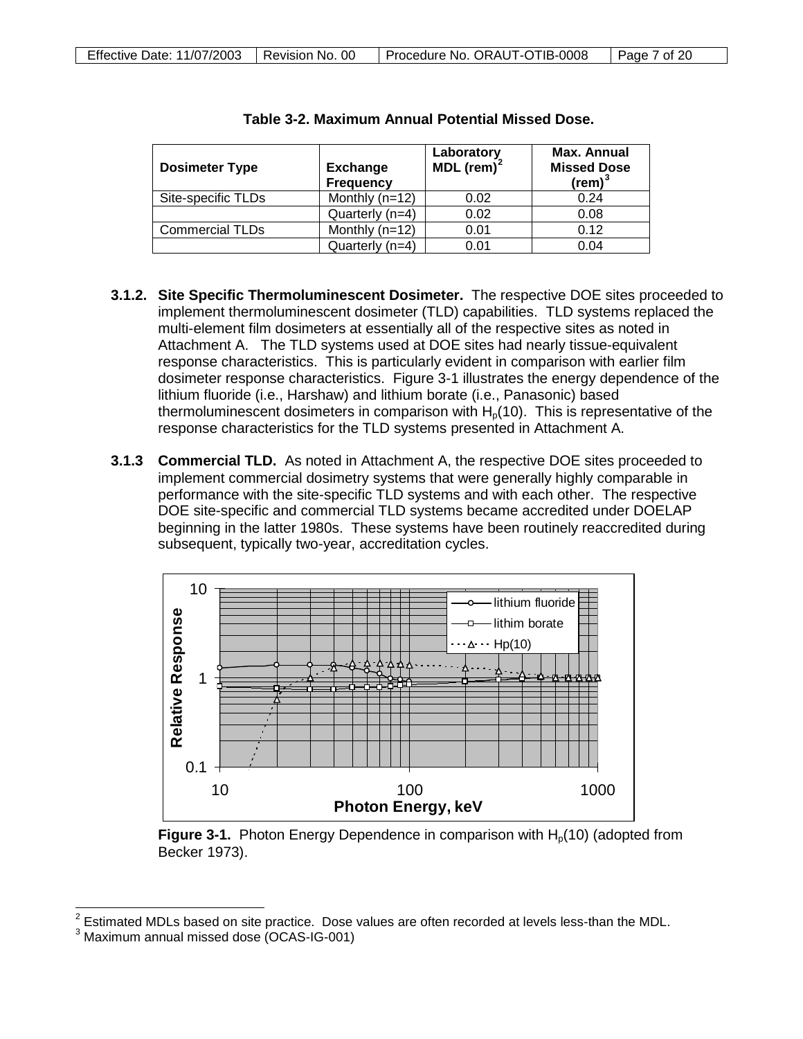| <b>Dosimeter Type</b>  | <b>Exchange</b><br><b>Frequency</b> | Laboratory<br>MDL (rem) $2$ | <b>Max. Annual</b><br><b>Missed Dose</b><br>$(\text{rem})^3$ |
|------------------------|-------------------------------------|-----------------------------|--------------------------------------------------------------|
| Site-specific TLDs     | Monthly $(n=12)$                    | 0.02                        | 0.24                                                         |
|                        | Quarterly (n=4)                     | 0.02                        | 0.08                                                         |
| <b>Commercial TLDs</b> | Monthly $(n=12)$                    | 0.01                        | 0.12                                                         |
|                        | Quarterly (n=4)                     | 0.01                        | 0.04                                                         |

| Table 3-2. Maximum Annual Potential Missed Dose. |  |  |  |
|--------------------------------------------------|--|--|--|
|--------------------------------------------------|--|--|--|

- **3.1.2. Site Specific Thermoluminescent Dosimeter.** The respective DOE sites proceeded to implement thermoluminescent dosimeter (TLD) capabilities. TLD systems replaced the multi-element film dosimeters at essentially all of the respective sites as noted in Attachment A.The TLD systems used at DOE sites had nearly tissue-equivalent response characteristics. This is particularly evident in comparison with earlier film dosimeter response characteristics. Figure 3-1 illustrates the energy dependence of the lithium fluoride (i.e., Harshaw) and lithium borate (i.e., Panasonic) based thermoluminescent dosimeters in comparison with  $H<sub>0</sub>(10)$ . This is representative of the response characteristics for the TLD systems presented in Attachment A.
- **3.1.3 Commercial TLD.** As noted in Attachment A, the respective DOE sites proceeded to implement commercial dosimetry systems that were generally highly comparable in performance with the site-specific TLD systems and with each other. The respective DOE site-specific and commercial TLD systems became accredited under DOELAP beginning in the latter 1980s. These systems have been routinely reaccredited during subsequent, typically two-year, accreditation cycles.



**Figure 3-1.** Photon Energy Dependence in comparison with H<sub>p</sub>(10) (adopted from Becker 1973).

 $\overline{a}$ 

 $2^{2}$  Estimated MDLs based on site practice. Dose values are often recorded at levels less-than the MDL.

<span id="page-6-1"></span><span id="page-6-0"></span><sup>3</sup> Maximum annual missed dose (OCAS-IG-001)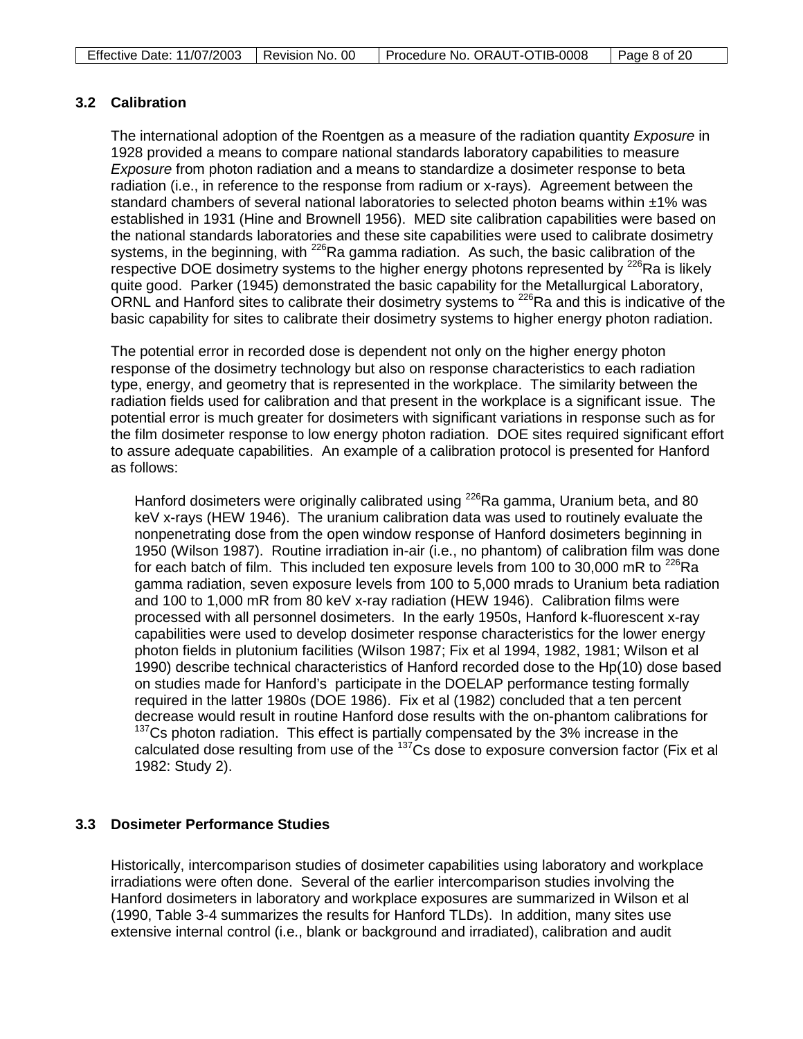## **3.2 Calibration**

The international adoption of the Roentgen as a measure of the radiation quantity *Exposure* in 1928 provided a means to compare national standards laboratory capabilities to measure *Exposure* from photon radiation and a means to standardize a dosimeter response to beta radiation (i.e., in reference to the response from radium or x-rays)*.* Agreement between the standard chambers of several national laboratories to selected photon beams within ±1% was established in 1931 (Hine and Brownell 1956). MED site calibration capabilities were based on the national standards laboratories and these site capabilities were used to calibrate dosimetry systems, in the beginning, with  $^{226}$ Ra gamma radiation. As such, the basic calibration of the respective DOE dosimetry systems to the higher energy photons represented by  $^{226}$ Ra is likely quite good. Parker (1945) demonstrated the basic capability for the Metallurgical Laboratory, ORNL and Hanford sites to calibrate their dosimetry systems to 226Ra and this is indicative of the basic capability for sites to calibrate their dosimetry systems to higher energy photon radiation.

The potential error in recorded dose is dependent not only on the higher energy photon response of the dosimetry technology but also on response characteristics to each radiation type, energy, and geometry that is represented in the workplace. The similarity between the radiation fields used for calibration and that present in the workplace is a significant issue. The potential error is much greater for dosimeters with significant variations in response such as for the film dosimeter response to low energy photon radiation. DOE sites required significant effort to assure adequate capabilities. An example of a calibration protocol is presented for Hanford as follows:

Hanford dosimeters were originally calibrated using  $^{226}$ Ra gamma, Uranium beta, and 80 keV x-rays (HEW 1946). The uranium calibration data was used to routinely evaluate the nonpenetrating dose from the open window response of Hanford dosimeters beginning in 1950 (Wilson 1987). Routine irradiation in-air (i.e., no phantom) of calibration film was done for each batch of film. This included ten exposure levels from 100 to 30,000 mR to  $^{226}$ Ra gamma radiation, seven exposure levels from 100 to 5,000 mrads to Uranium beta radiation and 100 to 1,000 mR from 80 keV x-ray radiation (HEW 1946). Calibration films were processed with all personnel dosimeters. In the early 1950s, Hanford k-fluorescent x-ray capabilities were used to develop dosimeter response characteristics for the lower energy photon fields in plutonium facilities (Wilson 1987; Fix et al 1994, 1982, 1981; Wilson et al 1990) describe technical characteristics of Hanford recorded dose to the Hp(10) dose based on studies made for Hanford's participate in the DOELAP performance testing formally required in the latter 1980s (DOE 1986). Fix et al (1982) concluded that a ten percent decrease would result in routine Hanford dose results with the on-phantom calibrations for  $137$ Cs photon radiation. This effect is partially compensated by the 3% increase in the calculated dose resulting from use of the <sup>137</sup>Cs dose to exposure conversion factor (Fix et al 1982: Study 2).

## **3.3 Dosimeter Performance Studies**

Historically, intercomparison studies of dosimeter capabilities using laboratory and workplace irradiations were often done. Several of the earlier intercomparison studies involving the Hanford dosimeters in laboratory and workplace exposures are summarized in Wilson et al (1990, Table 3-4 summarizes the results for Hanford TLDs). In addition, many sites use extensive internal control (i.e., blank or background and irradiated), calibration and audit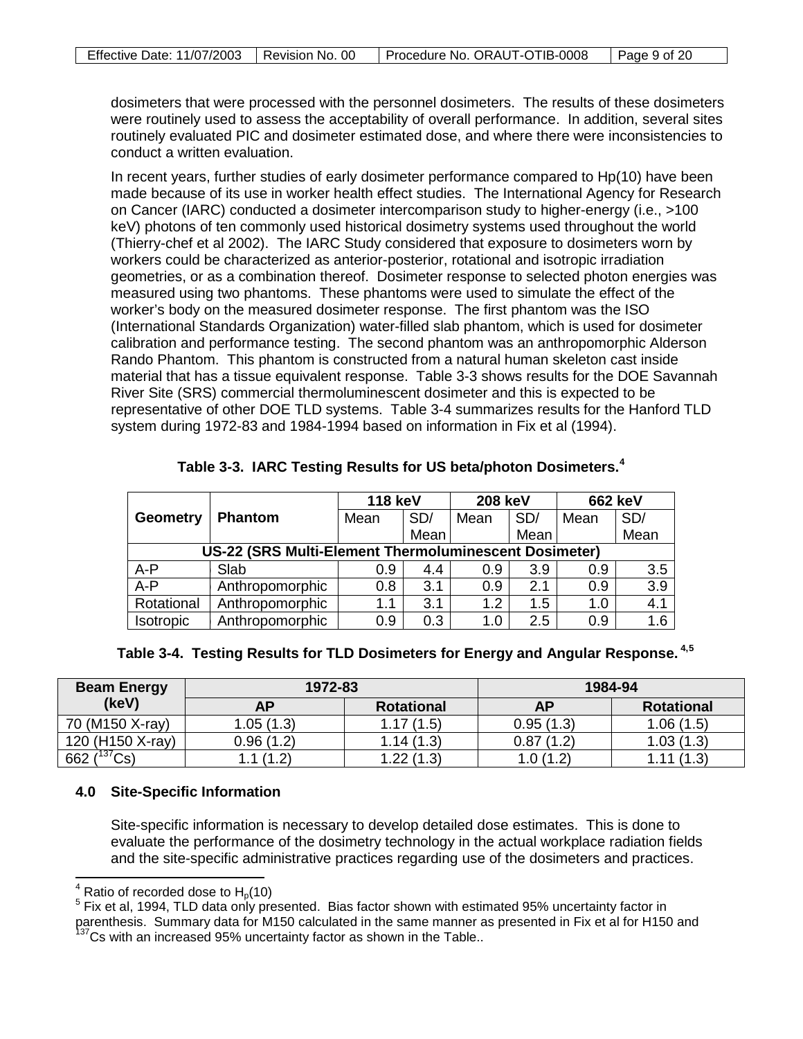dosimeters that were processed with the personnel dosimeters. The results of these dosimeters were routinely used to assess the acceptability of overall performance. In addition, several sites routinely evaluated PIC and dosimeter estimated dose, and where there were inconsistencies to conduct a written evaluation.

In recent years, further studies of early dosimeter performance compared to Hp(10) have been made because of its use in worker health effect studies. The International Agency for Research on Cancer (IARC) conducted a dosimeter intercomparison study to higher-energy (i.e., >100 keV) photons of ten commonly used historical dosimetry systems used throughout the world (Thierry-chef et al 2002). The IARC Study considered that exposure to dosimeters worn by workers could be characterized as anterior-posterior, rotational and isotropic irradiation geometries, or as a combination thereof. Dosimeter response to selected photon energies was measured using two phantoms. These phantoms were used to simulate the effect of the worker's body on the measured dosimeter response. The first phantom was the ISO (International Standards Organization) water-filled slab phantom, which is used for dosimeter calibration and performance testing. The second phantom was an anthropomorphic Alderson Rando Phantom. This phantom is constructed from a natural human skeleton cast inside material that has a tissue equivalent response. Table 3-3 shows results for the DOE Savannah River Site (SRS) commercial thermoluminescent dosimeter and this is expected to be representative of other DOE TLD systems. Table 3-4 summarizes results for the Hanford TLD system during 1972-83 and 1984-1994 based on information in Fix et al (1994).

|                  |                                                              | <b>118 keV</b> |      | <b>208 keV</b> |      | <b>662 keV</b> |      |
|------------------|--------------------------------------------------------------|----------------|------|----------------|------|----------------|------|
| <b>Geometry</b>  | Phantom                                                      | Mean           | SD/  | Mean           | SD/  | Mean           | SD/  |
|                  |                                                              |                | Mean |                | Mean |                | Mean |
|                  | <b>US-22 (SRS Multi-Element Thermoluminescent Dosimeter)</b> |                |      |                |      |                |      |
| $A - P$          | Slab                                                         | 0.9            | 4.4  | 0.9            | 3.9  | 0.9            | 3.5  |
| $A - P$          | Anthropomorphic                                              | 0.8            | 3.1  | 0.9            | 2.1  | 0.9            | 3.9  |
| Rotational       | Anthropomorphic                                              | 1.1            | 3.1  | 1.2            | 1.5  | 1.0            | 4.1  |
| <b>Isotropic</b> | Anthropomorphic                                              | 0.9            | 0.3  | 1.0            | 2.5  | 0.9            | 1.6  |

| Table 3-3. IARC Testing Results for US beta/photon Dosimeters. <sup>4</sup> |  |  |  |
|-----------------------------------------------------------------------------|--|--|--|
|-----------------------------------------------------------------------------|--|--|--|

## **Table 3-4. Testing Results for TLD Dosimeters for Energy and Angular Response. 4[,5](#page-8-1)**

| <b>Beam Energy</b> | 1972-83   |                   |           | 1984-94           |
|--------------------|-----------|-------------------|-----------|-------------------|
| (keV)              | AP        | <b>Rotational</b> | AΡ        | <b>Rotational</b> |
| 70 (M150 X-ray)    | 1.05(1.3) | 1.17(1.5)         | 0.95(1.3) | 1.06(1.5)         |
| 120 (H150 X-ray)   | 0.96(1.2) | 1.14(1.3)         | 0.87(1.2) | (1.3)<br>1.03     |
| 662 $(^{137}Cs)$   | .1(1.2)   | 1.22(1.3)         | 1.0(1.2)  | (1.3)             |

## **4.0 Site-Specific Information**

Site-specific information is necessary to develop detailed dose estimates. This is done to evaluate the performance of the dosimetry technology in the actual workplace radiation fields and the site-specific administrative practices regarding use of the dosimeters and practices.

<span id="page-8-0"></span> $4$  Ratio of recorded dose to  $H<sub>0</sub>(10)$ 

<span id="page-8-1"></span> $5$  Fix et al, 1994, TLD data only presented. Bias factor shown with estimated 95% uncertainty factor in parenthesis. Summary data for M150 calculated in the same manner as presented in Fix et al for H150 and <sup>137</sup>Cs with an increased 95% uncertainty factor as shown in the Table..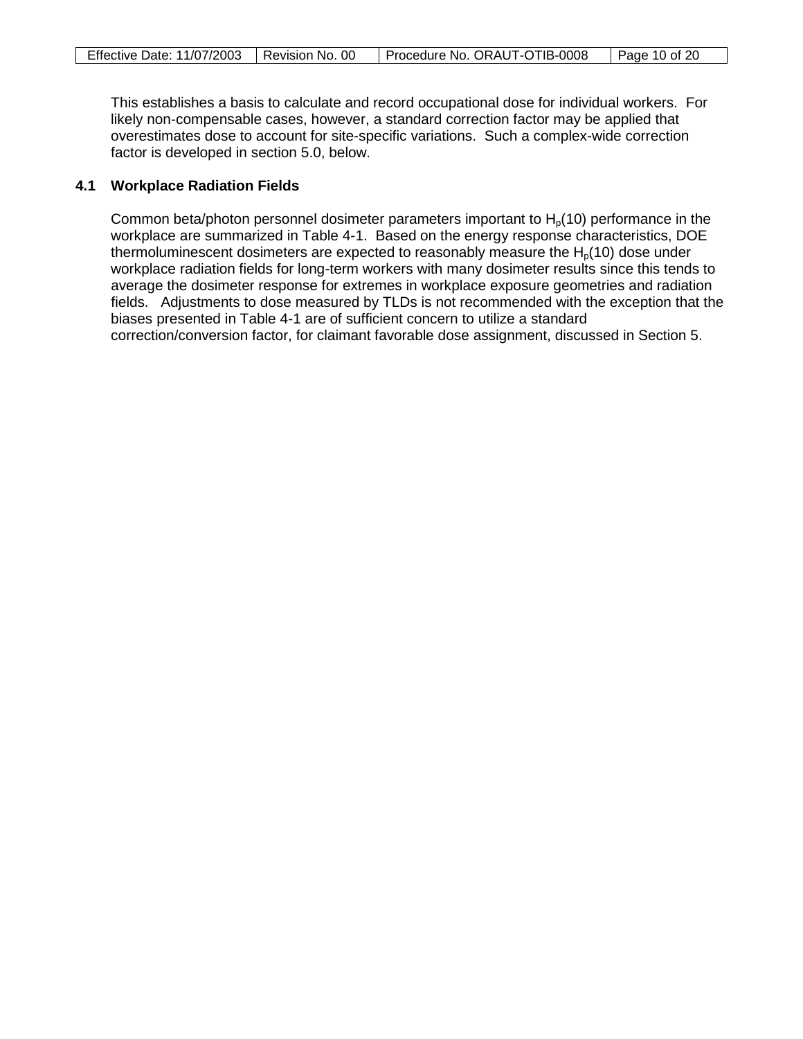This establishes a basis to calculate and record occupational dose for individual workers. For likely non-compensable cases, however, a standard correction factor may be applied that overestimates dose to account for site-specific variations. Such a complex-wide correction factor is developed in section 5.0, below.

### **4.1 Workplace Radiation Fields**

Common beta/photon personnel dosimeter parameters important to  $H<sub>0</sub>(10)$  performance in the workplace are summarized in Table 4-1. Based on the energy response characteristics, DOE thermoluminescent dosimeters are expected to reasonably measure the  $H<sub>0</sub>(10)$  dose under workplace radiation fields for long-term workers with many dosimeter results since this tends to average the dosimeter response for extremes in workplace exposure geometries and radiation fields. Adjustments to dose measured by TLDs is not recommended with the exception that the biases presented in Table 4-1 are of sufficient concern to utilize a standard correction/conversion factor, for claimant favorable dose assignment, discussed in Section 5.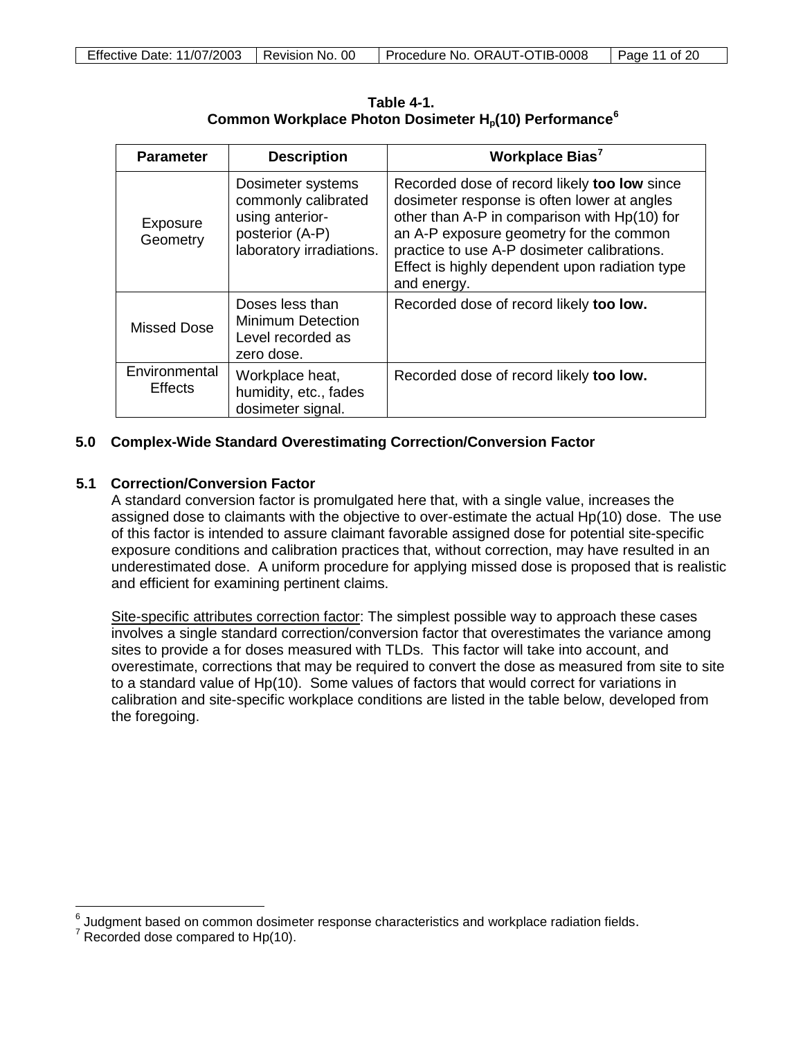**Table 4-1. Common Workplace Photon Dosimeter H<sub>o</sub>(10) Performance<sup>[6](#page-10-0)</sup>** 

| <b>Parameter</b>                | <b>Description</b>                                                                                         | Workplace Bias <sup>7</sup>                                                                                                                                                                                                                                                                            |
|---------------------------------|------------------------------------------------------------------------------------------------------------|--------------------------------------------------------------------------------------------------------------------------------------------------------------------------------------------------------------------------------------------------------------------------------------------------------|
| Exposure<br>Geometry            | Dosimeter systems<br>commonly calibrated<br>using anterior-<br>posterior (A-P)<br>laboratory irradiations. | Recorded dose of record likely too low since<br>dosimeter response is often lower at angles<br>other than A-P in comparison with Hp(10) for<br>an A-P exposure geometry for the common<br>practice to use A-P dosimeter calibrations.<br>Effect is highly dependent upon radiation type<br>and energy. |
| Missed Dose                     | Doses less than<br><b>Minimum Detection</b><br>Level recorded as<br>zero dose.                             | Recorded dose of record likely too low.                                                                                                                                                                                                                                                                |
| Environmental<br><b>Effects</b> | Workplace heat,<br>humidity, etc., fades<br>dosimeter signal.                                              | Recorded dose of record likely too low.                                                                                                                                                                                                                                                                |

### **5.0 Complex-Wide Standard Overestimating Correction/Conversion Factor**

## **5.1 Correction/Conversion Factor**

A standard conversion factor is promulgated here that, with a single value, increases the assigned dose to claimants with the objective to over-estimate the actual Hp(10) dose. The use of this factor is intended to assure claimant favorable assigned dose for potential site-specific exposure conditions and calibration practices that, without correction, may have resulted in an underestimated dose. A uniform procedure for applying missed dose is proposed that is realistic and efficient for examining pertinent claims.

Site-specific attributes correction factor: The simplest possible way to approach these cases involves a single standard correction/conversion factor that overestimates the variance among sites to provide a for doses measured with TLDs. This factor will take into account, and overestimate, corrections that may be required to convert the dose as measured from site to site to a standard value of Hp(10). Some values of factors that would correct for variations in calibration and site-specific workplace conditions are listed in the table below, developed from the foregoing.

 $\ddot{\phantom{a}}$ 

<span id="page-10-0"></span> $^6$  Judgment based on common dosimeter response characteristics and workplace radiation fields.<br><sup>7</sup> Recorded dose compared to Hp(10).

<span id="page-10-1"></span>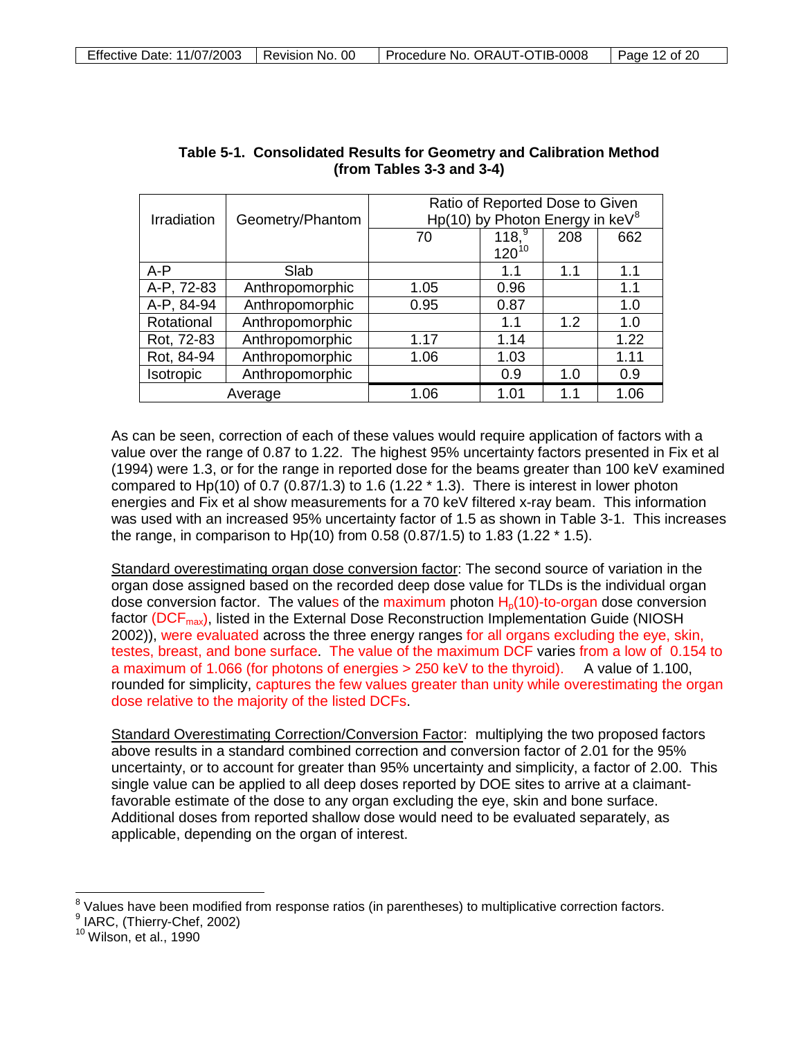|             |                  |      | Ratio of Reported Dose to Given    |     |      |
|-------------|------------------|------|------------------------------------|-----|------|
| Irradiation | Geometry/Phantom |      | Hp(10) by Photon Energy in $keV^8$ |     |      |
|             |                  | 70   | 118 <sup>9</sup>                   | 208 | 662  |
|             |                  |      | $120^{10}$                         |     |      |
| $A - P$     | Slab             |      | 1.1                                | 1.1 | 1.1  |
| A-P, 72-83  | Anthropomorphic  | 1.05 | 0.96                               |     | 1.1  |
| A-P, 84-94  | Anthropomorphic  | 0.95 | 0.87                               |     | 1.0  |
| Rotational  | Anthropomorphic  |      | 1.1                                | 1.2 | 1.0  |
| Rot, 72-83  | Anthropomorphic  | 1.17 | 1.14                               |     | 1.22 |
| Rot, 84-94  | Anthropomorphic  | 1.06 | 1.03                               |     | 1.11 |
| Isotropic   | Anthropomorphic  |      | 0.9                                | 1.0 | 0.9  |
| Average     |                  | 1.06 | 1.01                               | 1.1 | 1.06 |

| Table 5-1. Consolidated Results for Geometry and Calibration Method |
|---------------------------------------------------------------------|
| (from Tables $3-3$ and $3-4$ )                                      |

As can be seen, correction of each of these values would require application of factors with a value over the range of 0.87 to 1.22. The highest 95% uncertainty factors presented in Fix et al (1994) were 1.3, or for the range in reported dose for the beams greater than 100 keV examined compared to Hp(10) of 0.7 (0.87/1.3) to 1.6 (1.22  $*$  1.3). There is interest in lower photon energies and Fix et al show measurements for a 70 keV filtered x-ray beam. This information was used with an increased 95% uncertainty factor of 1.5 as shown in Table 3-1. This increases the range, in comparison to Hp(10) from 0.58 (0.87/1.5) to 1.83 (1.22 \* 1.5).

Standard overestimating organ dose conversion factor: The second source of variation in the organ dose assigned based on the recorded deep dose value for TLDs is the individual organ dose conversion factor. The values of the maximum photon  $H<sub>0</sub>(10)$ -to-organ dose conversion factor (DCF<sub>max</sub>), listed in the External Dose Reconstruction Implementation Guide (NIOSH 2002)), were evaluated across the three energy ranges for all organs excluding the eye, skin, testes, breast, and bone surface. The value of the maximum DCF varies from a low of 0.154 to a maximum of 1.066 (for photons of energies > 250 keV to the thyroid). A value of 1.100, rounded for simplicity, captures the few values greater than unity while overestimating the organ dose relative to the majority of the listed DCFs.

Standard Overestimating Correction/Conversion Factor: multiplying the two proposed factors above results in a standard combined correction and conversion factor of 2.01 for the 95% uncertainty, or to account for greater than 95% uncertainty and simplicity, a factor of 2.00. This single value can be applied to all deep doses reported by DOE sites to arrive at a claimantfavorable estimate of the dose to any organ excluding the eye, skin and bone surface. Additional doses from reported shallow dose would need to be evaluated separately, as applicable, depending on the organ of interest.

 $\overline{a}$  $\frac{8}{3}$  Values have been modified from response ratios (in parentheses) to multiplicative correction factors.

<span id="page-11-2"></span><span id="page-11-1"></span><span id="page-11-0"></span><sup>9</sup> IARC, (Thierry-Chef, 2002)<br><sup>10</sup> Wilson, et al., 1990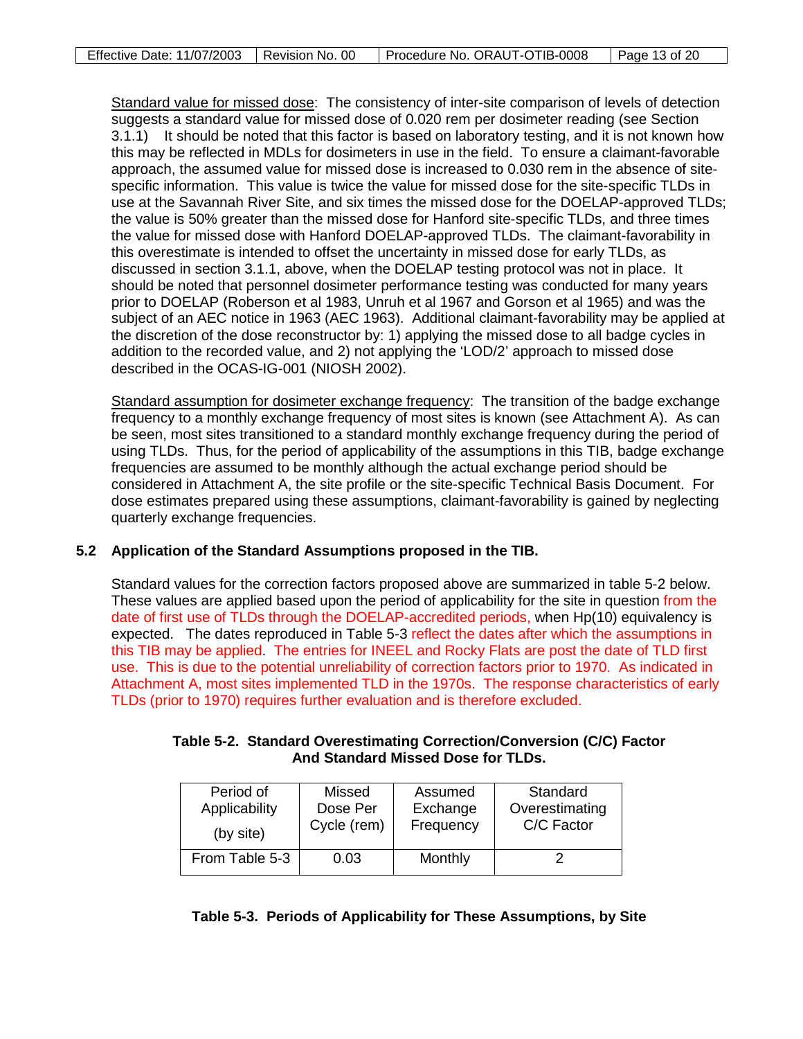Standard value for missed dose: The consistency of inter-site comparison of levels of detection suggests a standard value for missed dose of 0.020 rem per dosimeter reading (see Section 3.1.1) It should be noted that this factor is based on laboratory testing, and it is not known how this may be reflected in MDLs for dosimeters in use in the field. To ensure a claimant-favorable approach, the assumed value for missed dose is increased to 0.030 rem in the absence of sitespecific information. This value is twice the value for missed dose for the site-specific TLDs in use at the Savannah River Site, and six times the missed dose for the DOELAP-approved TLDs; the value is 50% greater than the missed dose for Hanford site-specific TLDs, and three times the value for missed dose with Hanford DOELAP-approved TLDs. The claimant-favorability in this overestimate is intended to offset the uncertainty in missed dose for early TLDs, as discussed in section 3.1.1, above, when the DOELAP testing protocol was not in place. It should be noted that personnel dosimeter performance testing was conducted for many years prior to DOELAP (Roberson et al 1983, Unruh et al 1967 and Gorson et al 1965) and was the subject of an AEC notice in 1963 (AEC 1963). Additional claimant-favorability may be applied at the discretion of the dose reconstructor by: 1) applying the missed dose to all badge cycles in addition to the recorded value, and 2) not applying the 'LOD/2' approach to missed dose described in the OCAS-IG-001 (NIOSH 2002).

Standard assumption for dosimeter exchange frequency: The transition of the badge exchange frequency to a monthly exchange frequency of most sites is known (see Attachment A). As can be seen, most sites transitioned to a standard monthly exchange frequency during the period of using TLDs. Thus, for the period of applicability of the assumptions in this TIB, badge exchange frequencies are assumed to be monthly although the actual exchange period should be considered in Attachment A, the site profile or the site-specific Technical Basis Document. For dose estimates prepared using these assumptions, claimant-favorability is gained by neglecting quarterly exchange frequencies.

## **5.2 Application of the Standard Assumptions proposed in the TIB.**

Standard values for the correction factors proposed above are summarized in table 5-2 below. These values are applied based upon the period of applicability for the site in question from the date of first use of TLDs through the DOELAP-accredited periods, when Hp(10) equivalency is expected. The dates reproduced in Table 5-3 reflect the dates after which the assumptions in this TIB may be applied. The entries for INEEL and Rocky Flats are post the date of TLD first use. This is due to the potential unreliability of correction factors prior to 1970. As indicated in Attachment A, most sites implemented TLD in the 1970s. The response characteristics of early TLDs (prior to 1970) requires further evaluation and is therefore excluded.

|                                    | Table 5-2. Standard Overestimating Correction/Conversion (C/C) Factor |  |  |  |
|------------------------------------|-----------------------------------------------------------------------|--|--|--|
| And Standard Missed Dose for TLDs. |                                                                       |  |  |  |

| Period of<br>Applicability | Missed<br>Dose Per | Assumed<br>Exchange | Standard<br>Overestimating |  |
|----------------------------|--------------------|---------------------|----------------------------|--|
| (by site)                  | Cycle (rem)        | Frequency           | C/C Factor                 |  |
| From Table 5-3             | 0.03               | Monthly             |                            |  |

#### **Table 5-3. Periods of Applicability for These Assumptions, by Site**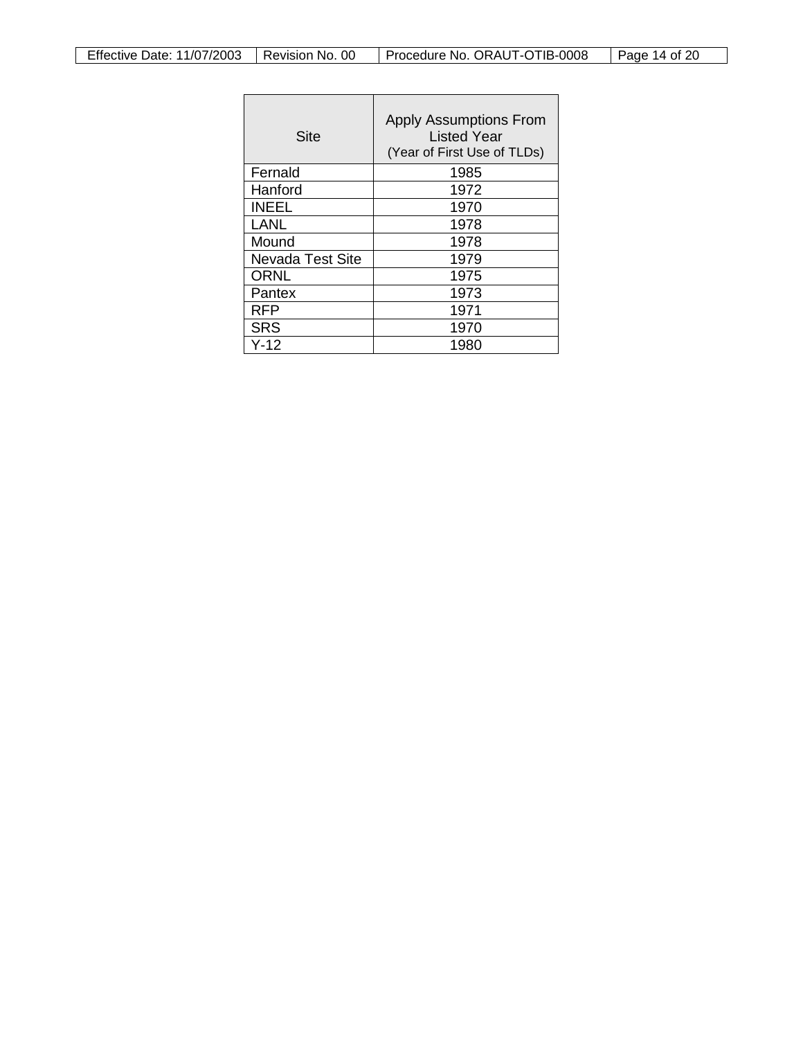| Site             | <b>Apply Assumptions From</b><br>Listed Year<br>(Year of First Use of TLDs) |
|------------------|-----------------------------------------------------------------------------|
| Fernald          | 1985                                                                        |
| Hanford          | 1972                                                                        |
| <b>INEEL</b>     | 1970                                                                        |
| <b>LANL</b>      | 1978                                                                        |
| Mound            | 1978                                                                        |
| Nevada Test Site | 1979                                                                        |
| <b>ORNL</b>      | 1975                                                                        |
| Pantex           | 1973                                                                        |
| <b>RFP</b>       | 1971                                                                        |
| <b>SRS</b>       | 1970                                                                        |
| Y-12             | 1980                                                                        |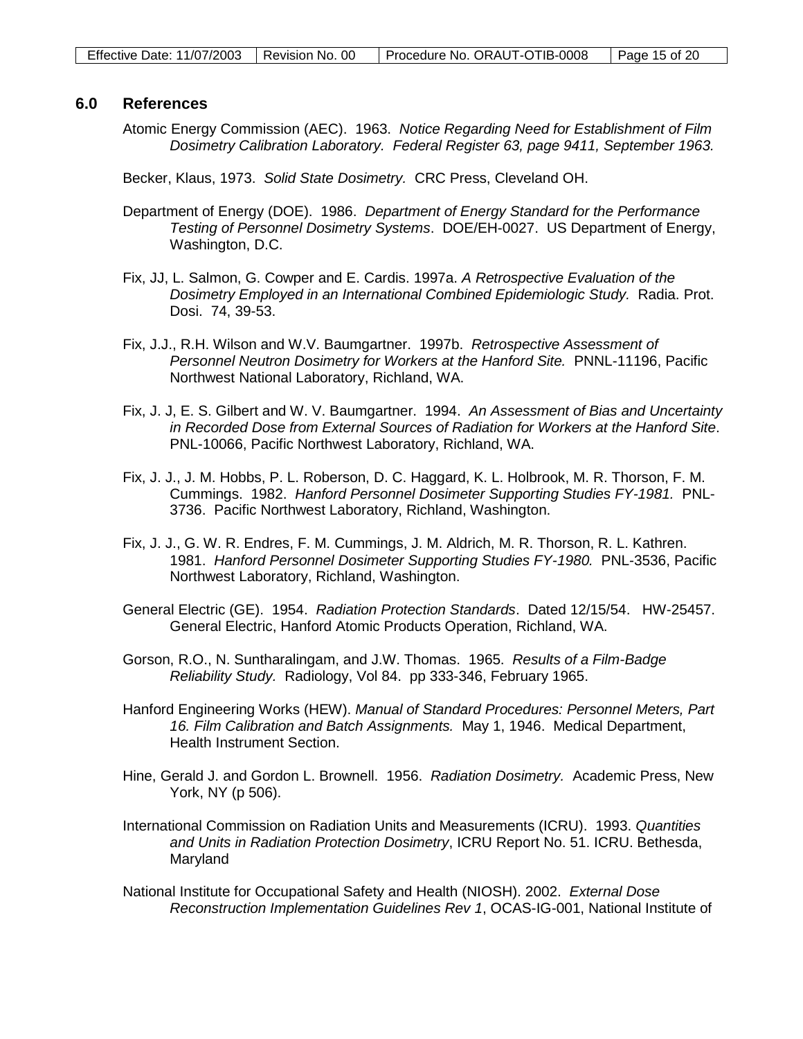#### **6.0 References**

Atomic Energy Commission (AEC). 1963. *Notice Regarding Need for Establishment of Film Dosimetry Calibration Laboratory. Federal Register 63, page 9411, September 1963.*

Becker, Klaus, 1973. *Solid State Dosimetry.* CRC Press, Cleveland OH.

- Department of Energy (DOE). 1986. *Department of Energy Standard for the Performance Testing of Personnel Dosimetry Systems*. DOE/EH-0027. US Department of Energy, Washington, D.C.
- Fix, JJ, L. Salmon, G. Cowper and E. Cardis. 1997a. *A Retrospective Evaluation of the Dosimetry Employed in an International Combined Epidemiologic Study.* Radia. Prot. Dosi. 74, 39-53.
- Fix, J.J., R.H. Wilson and W.V. Baumgartner. 1997b. *Retrospective Assessment of Personnel Neutron Dosimetry for Workers at the Hanford Site.* PNNL-11196, Pacific Northwest National Laboratory, Richland, WA.
- Fix, J. J, E. S. Gilbert and W. V. Baumgartner. 1994. *An Assessment of Bias and Uncertainty in Recorded Dose from External Sources of Radiation for Workers at the Hanford Site*. PNL-10066, Pacific Northwest Laboratory, Richland, WA.
- Fix, J. J., J. M. Hobbs, P. L. Roberson, D. C. Haggard, K. L. Holbrook, M. R. Thorson, F. M. Cummings. 1982. *Hanford Personnel Dosimeter Supporting Studies FY-1981.* PNL-3736. Pacific Northwest Laboratory, Richland, Washington.
- Fix, J. J., G. W. R. Endres, F. M. Cummings, J. M. Aldrich, M. R. Thorson, R. L. Kathren. 1981. *Hanford Personnel Dosimeter Supporting Studies FY-1980.* PNL-3536, Pacific Northwest Laboratory, Richland, Washington.
- General Electric (GE). 1954. *Radiation Protection Standards*. Dated 12/15/54. HW-25457. General Electric, Hanford Atomic Products Operation, Richland, WA.
- Gorson, R.O., N. Suntharalingam, and J.W. Thomas. 1965. *Results of a Film-Badge Reliability Study.* Radiology, Vol 84. pp 333-346, February 1965.
- Hanford Engineering Works (HEW). *Manual of Standard Procedures: Personnel Meters, Part 16. Film Calibration and Batch Assignments.* May 1, 1946. Medical Department, Health Instrument Section.
- Hine, Gerald J. and Gordon L. Brownell. 1956. *Radiation Dosimetry.* Academic Press, New York, NY (p 506).
- International Commission on Radiation Units and Measurements (ICRU). 1993. *Quantities and Units in Radiation Protection Dosimetry*, ICRU Report No. 51. ICRU. Bethesda, Maryland
- National Institute for Occupational Safety and Health (NIOSH). 2002. *External Dose Reconstruction Implementation Guidelines Rev 1*, OCAS-IG-001, National Institute of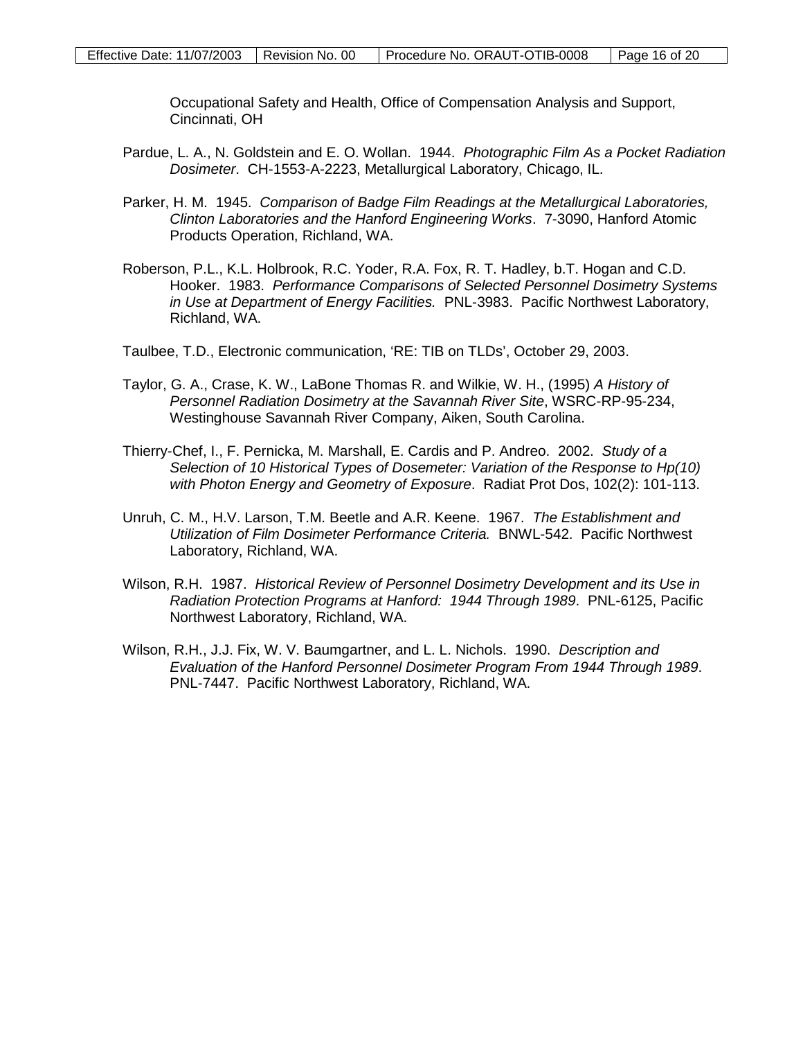Occupational Safety and Health, Office of Compensation Analysis and Support, Cincinnati, OH

- Pardue, L. A., N. Goldstein and E. O. Wollan. 1944. *Photographic Film As a Pocket Radiation Dosimeter*. CH-1553-A-2223, Metallurgical Laboratory, Chicago, IL.
- Parker, H. M. 1945. *Comparison of Badge Film Readings at the Metallurgical Laboratories, Clinton Laboratories and the Hanford Engineering Works*. 7-3090, Hanford Atomic Products Operation, Richland, WA.
- Roberson, P.L., K.L. Holbrook, R.C. Yoder, R.A. Fox, R. T. Hadley, b.T. Hogan and C.D. Hooker. 1983. *Performance Comparisons of Selected Personnel Dosimetry Systems in Use at Department of Energy Facilities.* PNL-3983. Pacific Northwest Laboratory, Richland, WA.
- Taulbee, T.D., Electronic communication, 'RE: TIB on TLDs', October 29, 2003.
- Taylor, G. A., Crase, K. W., LaBone Thomas R. and Wilkie, W. H., (1995) *A History of Personnel Radiation Dosimetry at the Savannah River Site*, WSRC-RP-95-234, Westinghouse Savannah River Company, Aiken, South Carolina.
- Thierry-Chef, I., F. Pernicka, M. Marshall, E. Cardis and P. Andreo. 2002. *Study of a Selection of 10 Historical Types of Dosemeter: Variation of the Response to Hp(10) with Photon Energy and Geometry of Exposure*. Radiat Prot Dos, 102(2): 101-113.
- Unruh, C. M., H.V. Larson, T.M. Beetle and A.R. Keene. 1967. *The Establishment and Utilization of Film Dosimeter Performance Criteria.* BNWL-542. Pacific Northwest Laboratory, Richland, WA.
- Wilson, R.H. 1987. *Historical Review of Personnel Dosimetry Development and its Use in Radiation Protection Programs at Hanford: 1944 Through 1989*. PNL-6125, Pacific Northwest Laboratory, Richland, WA.
- Wilson, R.H., J.J. Fix, W. V. Baumgartner, and L. L. Nichols. 1990. *Description and Evaluation of the Hanford Personnel Dosimeter Program From 1944 Through 1989*. PNL-7447. Pacific Northwest Laboratory, Richland, WA.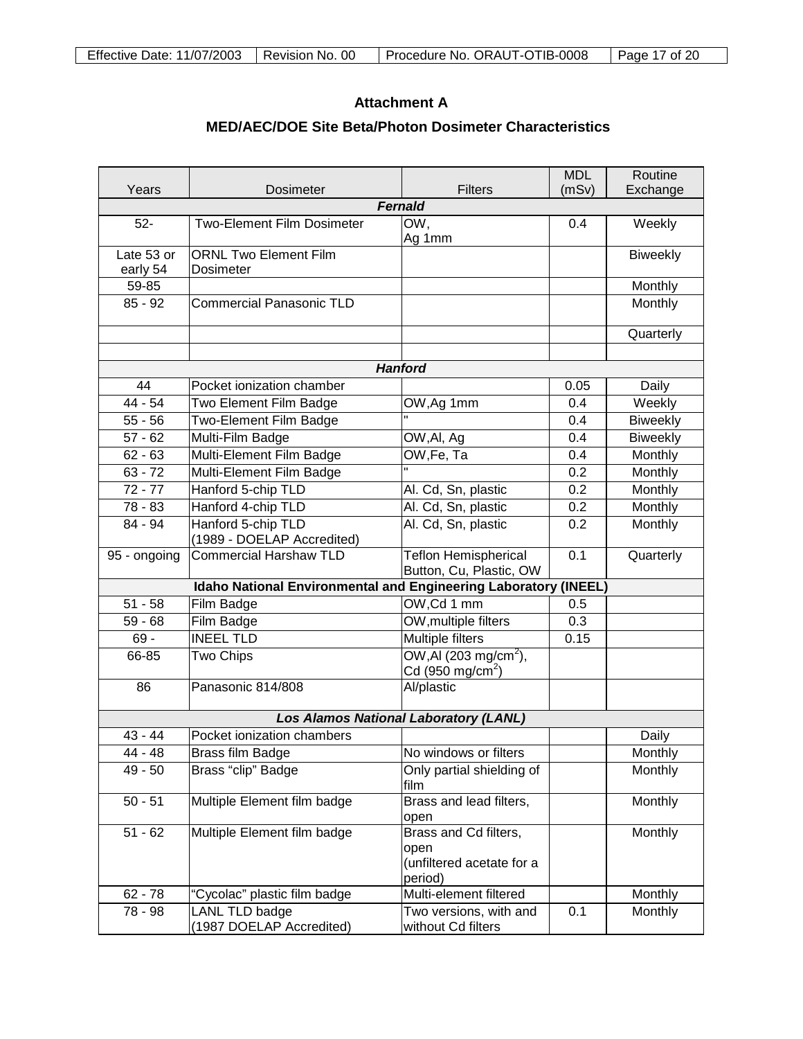## **Attachment A**

## **MED/AEC/DOE Site Beta/Photon Dosimeter Characteristics**

| Years<br><b>Dosimeter</b><br>Fernald<br>$52-$<br>Two-Element Film Dosimeter<br>OW,<br>0.4<br>Weekly<br>Ag 1mm<br>Late 53 or<br><b>ORNL Two Element Film</b><br><b>Biweekly</b><br>early 54<br>Dosimeter<br>59-85<br>Monthly<br>$85 - 92$<br><b>Commercial Panasonic TLD</b><br>Monthly<br>Quarterly<br><b>Hanford</b><br>44<br>Pocket ionization chamber<br>0.05<br>Daily<br>44 - 54<br>Two Element Film Badge<br>0.4<br>Weekly<br>OW, Ag 1mm<br>$55 - 56$<br>Two-Element Film Badge<br><b>Biweekly</b><br>0.4<br>$57 - 62$<br>Multi-Film Badge<br>0.4<br><b>Biweekly</b><br>OW, Al, Ag<br>$62 - 63$<br>Multi-Element Film Badge<br>OW, Fe, Ta<br>0.4<br>Monthly<br>$63 - 72$<br>Multi-Element Film Badge<br>0.2<br>Monthly<br>$72 - 77$<br>Hanford 5-chip TLD<br>Al. Cd, Sn, plastic<br>0.2<br>Monthly<br>Hanford 4-chip TLD<br>78 - 83<br>Al. Cd, Sn, plastic<br>Monthly<br>0.2<br>Hanford 5-chip TLD<br>Al. Cd, Sn, plastic<br>84 - 94<br>0.2<br>Monthly<br>(1989 - DOELAP Accredited)<br><b>Teflon Hemispherical</b><br><b>Commercial Harshaw TLD</b><br>0.1<br>Quarterly<br>95 - ongoing<br>Button, Cu, Plastic, OW<br>Idaho National Environmental and Engineering Laboratory (INEEL)<br>Film Badge<br>OW, Cd 1 mm<br>$51 - 58$<br>0.5<br>OW, multiple filters<br>$59 - 68$<br>0.3<br>Film Badge<br><b>Multiple filters</b><br><b>INEEL TLD</b><br>$69 -$<br>0.15<br>OW, AI (203 mg/cm <sup>2</sup> ),<br>66-85<br>Two Chips<br>Cd (950 mg/cm <sup>2</sup> )<br>Al/plastic<br>Panasonic 814/808<br>86<br><b>Los Alamos National Laboratory (LANL)</b><br>Pocket ionization chambers<br>$43 - 44$<br>Daily<br>44 - 48<br>Brass film Badge<br>No windows or filters<br>Monthly<br>Brass "clip" Badge<br>Only partial shielding of<br>Monthly<br>$49 - 50$<br>film<br>$50 - 51$<br>Multiple Element film badge<br>Brass and lead filters,<br>Monthly<br>open<br>Multiple Element film badge<br>$51 - 62$<br>Brass and Cd filters,<br>Monthly<br>open |  |  |                | <b>MDL</b> | Routine  |  |  |
|---------------------------------------------------------------------------------------------------------------------------------------------------------------------------------------------------------------------------------------------------------------------------------------------------------------------------------------------------------------------------------------------------------------------------------------------------------------------------------------------------------------------------------------------------------------------------------------------------------------------------------------------------------------------------------------------------------------------------------------------------------------------------------------------------------------------------------------------------------------------------------------------------------------------------------------------------------------------------------------------------------------------------------------------------------------------------------------------------------------------------------------------------------------------------------------------------------------------------------------------------------------------------------------------------------------------------------------------------------------------------------------------------------------------------------------------------------------------------------------------------------------------------------------------------------------------------------------------------------------------------------------------------------------------------------------------------------------------------------------------------------------------------------------------------------------------------------------------------------------------------------------------------------------------------------------------------------|--|--|----------------|------------|----------|--|--|
|                                                                                                                                                                                                                                                                                                                                                                                                                                                                                                                                                                                                                                                                                                                                                                                                                                                                                                                                                                                                                                                                                                                                                                                                                                                                                                                                                                                                                                                                                                                                                                                                                                                                                                                                                                                                                                                                                                                                                         |  |  | <b>Filters</b> | (mSv)      | Exchange |  |  |
|                                                                                                                                                                                                                                                                                                                                                                                                                                                                                                                                                                                                                                                                                                                                                                                                                                                                                                                                                                                                                                                                                                                                                                                                                                                                                                                                                                                                                                                                                                                                                                                                                                                                                                                                                                                                                                                                                                                                                         |  |  |                |            |          |  |  |
|                                                                                                                                                                                                                                                                                                                                                                                                                                                                                                                                                                                                                                                                                                                                                                                                                                                                                                                                                                                                                                                                                                                                                                                                                                                                                                                                                                                                                                                                                                                                                                                                                                                                                                                                                                                                                                                                                                                                                         |  |  |                |            |          |  |  |
|                                                                                                                                                                                                                                                                                                                                                                                                                                                                                                                                                                                                                                                                                                                                                                                                                                                                                                                                                                                                                                                                                                                                                                                                                                                                                                                                                                                                                                                                                                                                                                                                                                                                                                                                                                                                                                                                                                                                                         |  |  |                |            |          |  |  |
|                                                                                                                                                                                                                                                                                                                                                                                                                                                                                                                                                                                                                                                                                                                                                                                                                                                                                                                                                                                                                                                                                                                                                                                                                                                                                                                                                                                                                                                                                                                                                                                                                                                                                                                                                                                                                                                                                                                                                         |  |  |                |            |          |  |  |
|                                                                                                                                                                                                                                                                                                                                                                                                                                                                                                                                                                                                                                                                                                                                                                                                                                                                                                                                                                                                                                                                                                                                                                                                                                                                                                                                                                                                                                                                                                                                                                                                                                                                                                                                                                                                                                                                                                                                                         |  |  |                |            |          |  |  |
|                                                                                                                                                                                                                                                                                                                                                                                                                                                                                                                                                                                                                                                                                                                                                                                                                                                                                                                                                                                                                                                                                                                                                                                                                                                                                                                                                                                                                                                                                                                                                                                                                                                                                                                                                                                                                                                                                                                                                         |  |  |                |            |          |  |  |
|                                                                                                                                                                                                                                                                                                                                                                                                                                                                                                                                                                                                                                                                                                                                                                                                                                                                                                                                                                                                                                                                                                                                                                                                                                                                                                                                                                                                                                                                                                                                                                                                                                                                                                                                                                                                                                                                                                                                                         |  |  |                |            |          |  |  |
|                                                                                                                                                                                                                                                                                                                                                                                                                                                                                                                                                                                                                                                                                                                                                                                                                                                                                                                                                                                                                                                                                                                                                                                                                                                                                                                                                                                                                                                                                                                                                                                                                                                                                                                                                                                                                                                                                                                                                         |  |  |                |            |          |  |  |
|                                                                                                                                                                                                                                                                                                                                                                                                                                                                                                                                                                                                                                                                                                                                                                                                                                                                                                                                                                                                                                                                                                                                                                                                                                                                                                                                                                                                                                                                                                                                                                                                                                                                                                                                                                                                                                                                                                                                                         |  |  |                |            |          |  |  |
|                                                                                                                                                                                                                                                                                                                                                                                                                                                                                                                                                                                                                                                                                                                                                                                                                                                                                                                                                                                                                                                                                                                                                                                                                                                                                                                                                                                                                                                                                                                                                                                                                                                                                                                                                                                                                                                                                                                                                         |  |  |                |            |          |  |  |
|                                                                                                                                                                                                                                                                                                                                                                                                                                                                                                                                                                                                                                                                                                                                                                                                                                                                                                                                                                                                                                                                                                                                                                                                                                                                                                                                                                                                                                                                                                                                                                                                                                                                                                                                                                                                                                                                                                                                                         |  |  |                |            |          |  |  |
|                                                                                                                                                                                                                                                                                                                                                                                                                                                                                                                                                                                                                                                                                                                                                                                                                                                                                                                                                                                                                                                                                                                                                                                                                                                                                                                                                                                                                                                                                                                                                                                                                                                                                                                                                                                                                                                                                                                                                         |  |  |                |            |          |  |  |
|                                                                                                                                                                                                                                                                                                                                                                                                                                                                                                                                                                                                                                                                                                                                                                                                                                                                                                                                                                                                                                                                                                                                                                                                                                                                                                                                                                                                                                                                                                                                                                                                                                                                                                                                                                                                                                                                                                                                                         |  |  |                |            |          |  |  |
|                                                                                                                                                                                                                                                                                                                                                                                                                                                                                                                                                                                                                                                                                                                                                                                                                                                                                                                                                                                                                                                                                                                                                                                                                                                                                                                                                                                                                                                                                                                                                                                                                                                                                                                                                                                                                                                                                                                                                         |  |  |                |            |          |  |  |
|                                                                                                                                                                                                                                                                                                                                                                                                                                                                                                                                                                                                                                                                                                                                                                                                                                                                                                                                                                                                                                                                                                                                                                                                                                                                                                                                                                                                                                                                                                                                                                                                                                                                                                                                                                                                                                                                                                                                                         |  |  |                |            |          |  |  |
|                                                                                                                                                                                                                                                                                                                                                                                                                                                                                                                                                                                                                                                                                                                                                                                                                                                                                                                                                                                                                                                                                                                                                                                                                                                                                                                                                                                                                                                                                                                                                                                                                                                                                                                                                                                                                                                                                                                                                         |  |  |                |            |          |  |  |
|                                                                                                                                                                                                                                                                                                                                                                                                                                                                                                                                                                                                                                                                                                                                                                                                                                                                                                                                                                                                                                                                                                                                                                                                                                                                                                                                                                                                                                                                                                                                                                                                                                                                                                                                                                                                                                                                                                                                                         |  |  |                |            |          |  |  |
|                                                                                                                                                                                                                                                                                                                                                                                                                                                                                                                                                                                                                                                                                                                                                                                                                                                                                                                                                                                                                                                                                                                                                                                                                                                                                                                                                                                                                                                                                                                                                                                                                                                                                                                                                                                                                                                                                                                                                         |  |  |                |            |          |  |  |
|                                                                                                                                                                                                                                                                                                                                                                                                                                                                                                                                                                                                                                                                                                                                                                                                                                                                                                                                                                                                                                                                                                                                                                                                                                                                                                                                                                                                                                                                                                                                                                                                                                                                                                                                                                                                                                                                                                                                                         |  |  |                |            |          |  |  |
|                                                                                                                                                                                                                                                                                                                                                                                                                                                                                                                                                                                                                                                                                                                                                                                                                                                                                                                                                                                                                                                                                                                                                                                                                                                                                                                                                                                                                                                                                                                                                                                                                                                                                                                                                                                                                                                                                                                                                         |  |  |                |            |          |  |  |
|                                                                                                                                                                                                                                                                                                                                                                                                                                                                                                                                                                                                                                                                                                                                                                                                                                                                                                                                                                                                                                                                                                                                                                                                                                                                                                                                                                                                                                                                                                                                                                                                                                                                                                                                                                                                                                                                                                                                                         |  |  |                |            |          |  |  |
|                                                                                                                                                                                                                                                                                                                                                                                                                                                                                                                                                                                                                                                                                                                                                                                                                                                                                                                                                                                                                                                                                                                                                                                                                                                                                                                                                                                                                                                                                                                                                                                                                                                                                                                                                                                                                                                                                                                                                         |  |  |                |            |          |  |  |
|                                                                                                                                                                                                                                                                                                                                                                                                                                                                                                                                                                                                                                                                                                                                                                                                                                                                                                                                                                                                                                                                                                                                                                                                                                                                                                                                                                                                                                                                                                                                                                                                                                                                                                                                                                                                                                                                                                                                                         |  |  |                |            |          |  |  |
|                                                                                                                                                                                                                                                                                                                                                                                                                                                                                                                                                                                                                                                                                                                                                                                                                                                                                                                                                                                                                                                                                                                                                                                                                                                                                                                                                                                                                                                                                                                                                                                                                                                                                                                                                                                                                                                                                                                                                         |  |  |                |            |          |  |  |
|                                                                                                                                                                                                                                                                                                                                                                                                                                                                                                                                                                                                                                                                                                                                                                                                                                                                                                                                                                                                                                                                                                                                                                                                                                                                                                                                                                                                                                                                                                                                                                                                                                                                                                                                                                                                                                                                                                                                                         |  |  |                |            |          |  |  |
|                                                                                                                                                                                                                                                                                                                                                                                                                                                                                                                                                                                                                                                                                                                                                                                                                                                                                                                                                                                                                                                                                                                                                                                                                                                                                                                                                                                                                                                                                                                                                                                                                                                                                                                                                                                                                                                                                                                                                         |  |  |                |            |          |  |  |
|                                                                                                                                                                                                                                                                                                                                                                                                                                                                                                                                                                                                                                                                                                                                                                                                                                                                                                                                                                                                                                                                                                                                                                                                                                                                                                                                                                                                                                                                                                                                                                                                                                                                                                                                                                                                                                                                                                                                                         |  |  |                |            |          |  |  |
|                                                                                                                                                                                                                                                                                                                                                                                                                                                                                                                                                                                                                                                                                                                                                                                                                                                                                                                                                                                                                                                                                                                                                                                                                                                                                                                                                                                                                                                                                                                                                                                                                                                                                                                                                                                                                                                                                                                                                         |  |  |                |            |          |  |  |
|                                                                                                                                                                                                                                                                                                                                                                                                                                                                                                                                                                                                                                                                                                                                                                                                                                                                                                                                                                                                                                                                                                                                                                                                                                                                                                                                                                                                                                                                                                                                                                                                                                                                                                                                                                                                                                                                                                                                                         |  |  |                |            |          |  |  |
|                                                                                                                                                                                                                                                                                                                                                                                                                                                                                                                                                                                                                                                                                                                                                                                                                                                                                                                                                                                                                                                                                                                                                                                                                                                                                                                                                                                                                                                                                                                                                                                                                                                                                                                                                                                                                                                                                                                                                         |  |  |                |            |          |  |  |
|                                                                                                                                                                                                                                                                                                                                                                                                                                                                                                                                                                                                                                                                                                                                                                                                                                                                                                                                                                                                                                                                                                                                                                                                                                                                                                                                                                                                                                                                                                                                                                                                                                                                                                                                                                                                                                                                                                                                                         |  |  |                |            |          |  |  |
|                                                                                                                                                                                                                                                                                                                                                                                                                                                                                                                                                                                                                                                                                                                                                                                                                                                                                                                                                                                                                                                                                                                                                                                                                                                                                                                                                                                                                                                                                                                                                                                                                                                                                                                                                                                                                                                                                                                                                         |  |  |                |            |          |  |  |
|                                                                                                                                                                                                                                                                                                                                                                                                                                                                                                                                                                                                                                                                                                                                                                                                                                                                                                                                                                                                                                                                                                                                                                                                                                                                                                                                                                                                                                                                                                                                                                                                                                                                                                                                                                                                                                                                                                                                                         |  |  |                |            |          |  |  |
|                                                                                                                                                                                                                                                                                                                                                                                                                                                                                                                                                                                                                                                                                                                                                                                                                                                                                                                                                                                                                                                                                                                                                                                                                                                                                                                                                                                                                                                                                                                                                                                                                                                                                                                                                                                                                                                                                                                                                         |  |  |                |            |          |  |  |
|                                                                                                                                                                                                                                                                                                                                                                                                                                                                                                                                                                                                                                                                                                                                                                                                                                                                                                                                                                                                                                                                                                                                                                                                                                                                                                                                                                                                                                                                                                                                                                                                                                                                                                                                                                                                                                                                                                                                                         |  |  |                |            |          |  |  |
|                                                                                                                                                                                                                                                                                                                                                                                                                                                                                                                                                                                                                                                                                                                                                                                                                                                                                                                                                                                                                                                                                                                                                                                                                                                                                                                                                                                                                                                                                                                                                                                                                                                                                                                                                                                                                                                                                                                                                         |  |  |                |            |          |  |  |
|                                                                                                                                                                                                                                                                                                                                                                                                                                                                                                                                                                                                                                                                                                                                                                                                                                                                                                                                                                                                                                                                                                                                                                                                                                                                                                                                                                                                                                                                                                                                                                                                                                                                                                                                                                                                                                                                                                                                                         |  |  |                |            |          |  |  |
|                                                                                                                                                                                                                                                                                                                                                                                                                                                                                                                                                                                                                                                                                                                                                                                                                                                                                                                                                                                                                                                                                                                                                                                                                                                                                                                                                                                                                                                                                                                                                                                                                                                                                                                                                                                                                                                                                                                                                         |  |  |                |            |          |  |  |
| (unfiltered acetate for a<br>period)                                                                                                                                                                                                                                                                                                                                                                                                                                                                                                                                                                                                                                                                                                                                                                                                                                                                                                                                                                                                                                                                                                                                                                                                                                                                                                                                                                                                                                                                                                                                                                                                                                                                                                                                                                                                                                                                                                                    |  |  |                |            |          |  |  |
| Multi-element filtered<br>$62 - 78$<br>"Cycolac" plastic film badge<br>Monthly                                                                                                                                                                                                                                                                                                                                                                                                                                                                                                                                                                                                                                                                                                                                                                                                                                                                                                                                                                                                                                                                                                                                                                                                                                                                                                                                                                                                                                                                                                                                                                                                                                                                                                                                                                                                                                                                          |  |  |                |            |          |  |  |
| <b>LANL TLD badge</b><br>Two versions, with and<br>78 - 98<br>0.1<br>Monthly                                                                                                                                                                                                                                                                                                                                                                                                                                                                                                                                                                                                                                                                                                                                                                                                                                                                                                                                                                                                                                                                                                                                                                                                                                                                                                                                                                                                                                                                                                                                                                                                                                                                                                                                                                                                                                                                            |  |  |                |            |          |  |  |
| (1987 DOELAP Accredited)<br>without Cd filters                                                                                                                                                                                                                                                                                                                                                                                                                                                                                                                                                                                                                                                                                                                                                                                                                                                                                                                                                                                                                                                                                                                                                                                                                                                                                                                                                                                                                                                                                                                                                                                                                                                                                                                                                                                                                                                                                                          |  |  |                |            |          |  |  |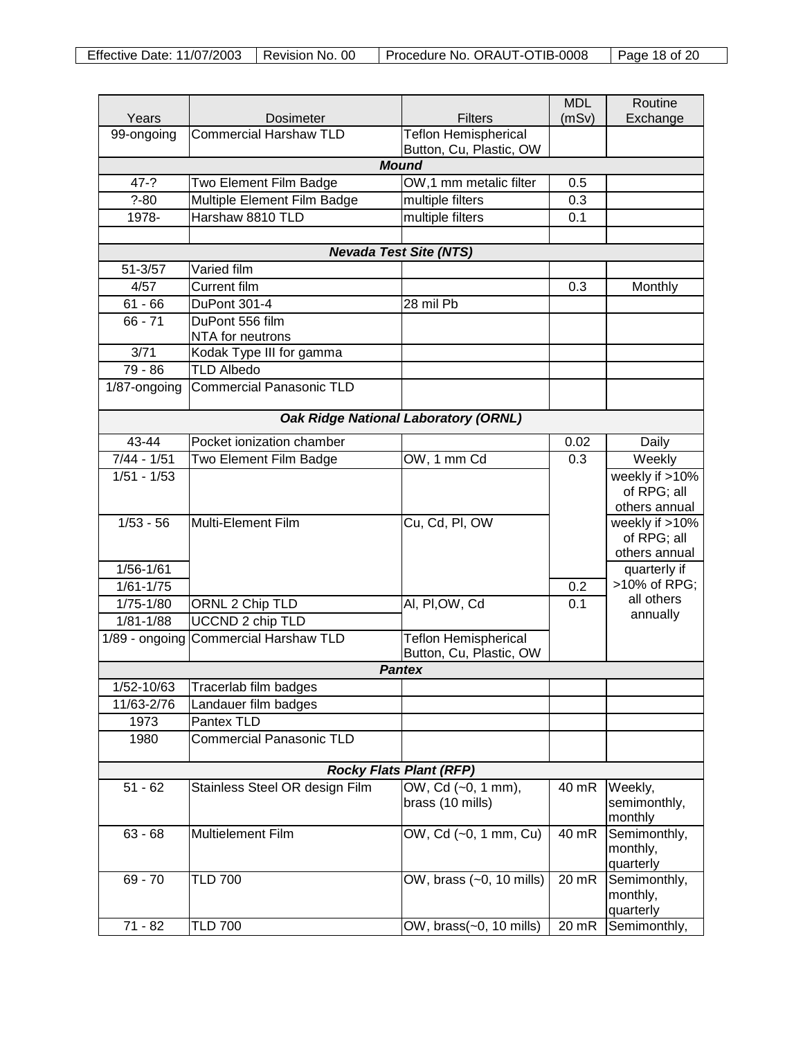| Years                          | <b>Dosimeter</b>                   | <b>Filters</b>                              | <b>MDL</b><br>(mSv) | Routine<br>Exchange          |  |  |
|--------------------------------|------------------------------------|---------------------------------------------|---------------------|------------------------------|--|--|
| 99-ongoing                     | <b>Commercial Harshaw TLD</b>      | <b>Teflon Hemispherical</b>                 |                     |                              |  |  |
|                                |                                    | Button, Cu, Plastic, OW                     |                     |                              |  |  |
|                                |                                    | <b>Mound</b>                                |                     |                              |  |  |
| $47 - ?$                       | Two Element Film Badge             | OW,1 mm metalic filter                      | 0.5                 |                              |  |  |
| $? - 80$                       | Multiple Element Film Badge        | multiple filters                            | 0.3                 |                              |  |  |
| 1978-                          | Harshaw 8810 TLD                   | multiple filters                            | 0.1                 |                              |  |  |
|                                |                                    |                                             |                     |                              |  |  |
| $51 - 3/57$                    | Varied film                        | <b>Nevada Test Site (NTS)</b>               |                     |                              |  |  |
| 4/57                           | <b>Current film</b>                |                                             | 0.3                 | Monthly                      |  |  |
| $61 - 66$                      | DuPont 301-4                       | 28 mil Pb                                   |                     |                              |  |  |
| $66 - 71$                      | DuPont 556 film                    |                                             |                     |                              |  |  |
|                                | NTA for neutrons                   |                                             |                     |                              |  |  |
| 3/71                           | Kodak Type III for gamma           |                                             |                     |                              |  |  |
| $79 - 86$                      | <b>TLD Albedo</b>                  |                                             |                     |                              |  |  |
| 1/87-ongoing                   | <b>Commercial Panasonic TLD</b>    |                                             |                     |                              |  |  |
|                                |                                    |                                             |                     |                              |  |  |
|                                |                                    | <b>Oak Ridge National Laboratory (ORNL)</b> |                     |                              |  |  |
| 43-44                          | Pocket ionization chamber          |                                             | 0.02                | Daily                        |  |  |
| $7/44 - 1/51$                  | Two Element Film Badge             | OW, 1 mm Cd                                 | 0.3                 | Weekly                       |  |  |
| $1/51 - 1/53$                  |                                    |                                             |                     | weekly if >10%               |  |  |
|                                |                                    |                                             |                     | of RPG; all<br>others annual |  |  |
| $1/53 - 56$                    | Multi-Element Film                 | Cu, Cd, Pl, OW                              |                     | weekly if >10%               |  |  |
|                                |                                    |                                             |                     | of RPG; all                  |  |  |
|                                |                                    |                                             |                     | others annual                |  |  |
| $1/56 - 1/61$                  |                                    |                                             |                     | quarterly if                 |  |  |
| $1/61 - 1/75$                  |                                    |                                             | 0.2                 | >10% of RPG;                 |  |  |
| $1/75 - 1/80$                  | ORNL 2 Chip TLD                    | Al, PI, OW, Cd                              | 0.1                 | all others                   |  |  |
| $1/81 - 1/88$                  | UCCND 2 chip TLD                   |                                             |                     | annually                     |  |  |
| 1/89 - ongoing                 | <b>Commercial Harshaw TLD</b>      | <b>Teflon Hemispherical</b>                 |                     |                              |  |  |
|                                |                                    | Button, Cu, Plastic, OW                     |                     |                              |  |  |
|                                |                                    | <b>Pantex</b>                               |                     |                              |  |  |
| 1/52-10/63                     | Tracerlab film badges              |                                             |                     |                              |  |  |
| 11/63-2/76                     | Landauer film badges<br>Pantex TLD |                                             |                     |                              |  |  |
| 1973<br>1980                   | <b>Commercial Panasonic TLD</b>    |                                             |                     |                              |  |  |
|                                |                                    |                                             |                     |                              |  |  |
| <b>Rocky Flats Plant (RFP)</b> |                                    |                                             |                     |                              |  |  |
| $51 - 62$                      | Stainless Steel OR design Film     | OW, Cd (~0, 1 mm),                          | 40 mR               | Weekly,                      |  |  |
|                                |                                    | brass (10 mills)                            |                     | semimonthly,                 |  |  |
|                                | Multielement Film                  |                                             | 40 mR               | monthly<br>Semimonthly,      |  |  |
| $63 - 68$                      |                                    | OW, Cd (~0, 1 mm, Cu)                       |                     | monthly,                     |  |  |
|                                |                                    |                                             |                     | quarterly                    |  |  |
| $69 - 70$                      | <b>TLD 700</b>                     | OW, brass (~0, 10 mills)                    | 20 mR               | Semimonthly,                 |  |  |
|                                |                                    |                                             |                     | monthly,                     |  |  |
|                                |                                    |                                             |                     | quarterly                    |  |  |
| $71 - 82$                      | <b>TLD 700</b>                     | OW, brass(~0, 10 mills)                     | 20 mR               | Semimonthly,                 |  |  |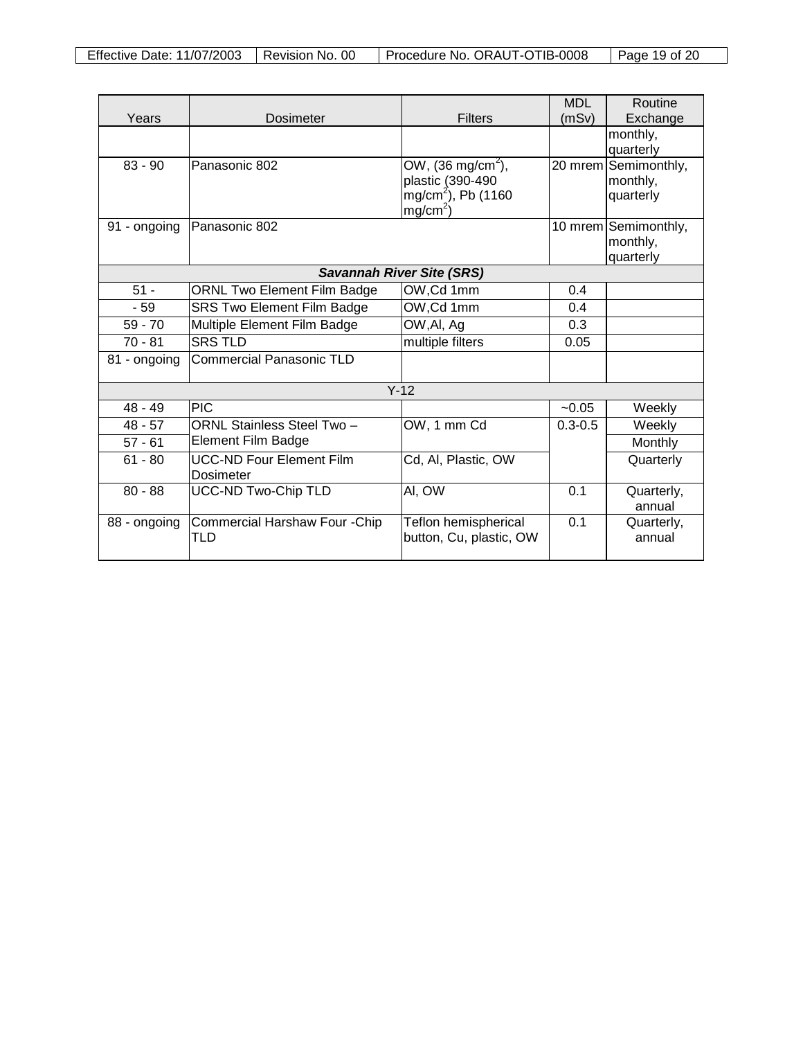|                                  |                                                     |                                             | <b>MDL</b>  | Routine                           |  |
|----------------------------------|-----------------------------------------------------|---------------------------------------------|-------------|-----------------------------------|--|
| Years                            | Dosimeter                                           | <b>Filters</b>                              | (mSv)       | Exchange                          |  |
|                                  |                                                     |                                             |             | monthly,                          |  |
| $83 - 90$                        | Panasonic 802                                       |                                             |             | quarterly<br>20 mrem Semimonthly, |  |
|                                  |                                                     | OW, $(36 \text{ mg/cm}^2)$ ,                |             |                                   |  |
|                                  |                                                     | plastic (390-490<br>$mg/cm^{2}$ ), Pb (1160 |             | monthly,<br>quarterly             |  |
|                                  |                                                     | $mg/cm2$ )                                  |             |                                   |  |
| 91 - ongoing                     | Panasonic 802                                       |                                             |             | 10 mrem Semimonthly,              |  |
|                                  |                                                     |                                             |             | monthly,                          |  |
|                                  |                                                     |                                             |             | quarterly                         |  |
| <b>Savannah River Site (SRS)</b> |                                                     |                                             |             |                                   |  |
| $51 -$                           | ORNL Two Element Film Badge                         | OW, Cd 1mm                                  | 0.4         |                                   |  |
| $-59$                            | SRS Two Element Film Badge                          | OW, Cd 1mm                                  | 0.4         |                                   |  |
| $59 - 70$                        | Multiple Element Film Badge                         | OW, Al, Ag                                  | 0.3         |                                   |  |
| $70 - 81$                        | <b>SRS TLD</b>                                      | multiple filters                            | 0.05        |                                   |  |
| 81 - ongoing                     | <b>Commercial Panasonic TLD</b>                     |                                             |             |                                   |  |
| $Y-12$                           |                                                     |                                             |             |                                   |  |
| $48 - 49$                        | <b>PIC</b>                                          |                                             | $-0.05$     | Weekly                            |  |
| $48 - 57$                        | ORNL Stainless Steel Two -                          | OW, 1 mm Cd                                 | $0.3 - 0.5$ | Weekly                            |  |
| $57 - 61$                        | Element Film Badge                                  |                                             |             | Monthly                           |  |
| $61 - 80$                        | <b>UCC-ND Four Element Film</b><br><b>Dosimeter</b> | Cd, Al, Plastic, OW                         |             | Quarterly                         |  |
| $80 - 88$                        | <b>UCC-ND Two-Chip TLD</b>                          | AI, OW                                      | 0.1         | Quarterly,<br>annual              |  |
| 88 - ongoing                     | Commercial Harshaw Four - Chip                      | Teflon hemispherical                        | 0.1         | Quarterly,                        |  |
|                                  | <b>TLD</b>                                          | button, Cu, plastic, OW                     |             | annual                            |  |